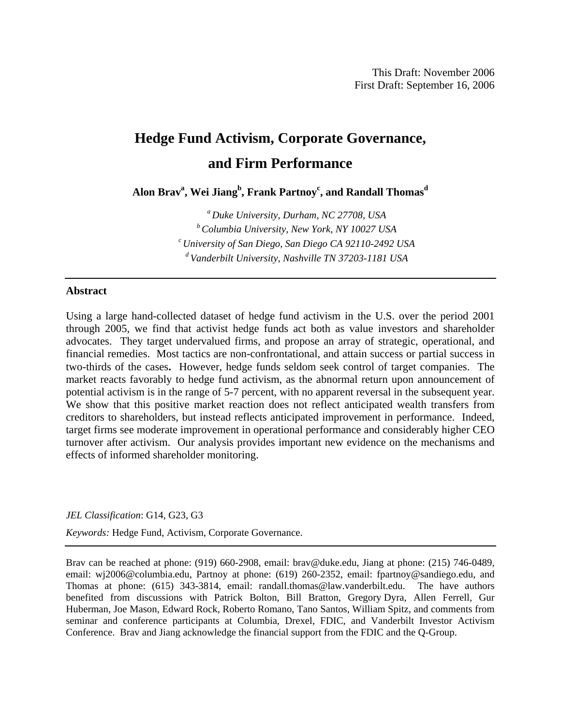# **Hedge Fund Activism, Corporate Governance, and Firm Performance**

 $\mathbf{A}$ lon Brav $^{\mathbf{a}}, \mathbf{Wei\ Jiang}^{\mathbf{b}},$  Frank Partnoy $^{\mathbf{c}},$  and Randall Thomas $^{\mathbf{d}}$ 

*a Duke University, Durham, NC 27708, USA b Columbia University, New York, NY 10027 USA c University of San Diego, San Diego CA 92110-2492 USA d Vanderbilt University, Nashville TN 37203-1181 USA* 

### **Abstract**

Using a large hand-collected dataset of hedge fund activism in the U.S. over the period 2001 through 2005, we find that activist hedge funds act both as value investors and shareholder advocates. They target undervalued firms, and propose an array of strategic, operational, and financial remedies. Most tactics are non-confrontational, and attain success or partial success in two-thirds of the cases**.** However, hedge funds seldom seek control of target companies. The market reacts favorably to hedge fund activism, as the abnormal return upon announcement of potential activism is in the range of 5-7 percent, with no apparent reversal in the subsequent year. We show that this positive market reaction does not reflect anticipated wealth transfers from creditors to shareholders, but instead reflects anticipated improvement in performance. Indeed, target firms see moderate improvement in operational performance and considerably higher CEO turnover after activism. Our analysis provides important new evidence on the mechanisms and effects of informed shareholder monitoring.

#### *JEL Classification*: G14, G23, G3

*Keywords:* Hedge Fund, Activism, Corporate Governance.

Brav can be reached at phone: (919) 660-2908, email: brav@duke.edu, Jiang at phone: (215) 746-0489, email: wj2006@columbia.edu, Partnoy at phone: (619) 260-2352, email: fpartnoy@sandiego.edu, and Thomas at phone: (615) 343-3814, email: randall.thomas@law.vanderbilt.edu. The have authors benefited from discussions with Patrick Bolton, Bill Bratton, Gregory Dyra, Allen Ferrell, Gur Huberman, Joe Mason, Edward Rock, Roberto Romano, Tano Santos, William Spitz, and comments from seminar and conference participants at Columbia, Drexel, FDIC, and Vanderbilt Investor Activism Conference. Brav and Jiang acknowledge the financial support from the FDIC and the Q-Group.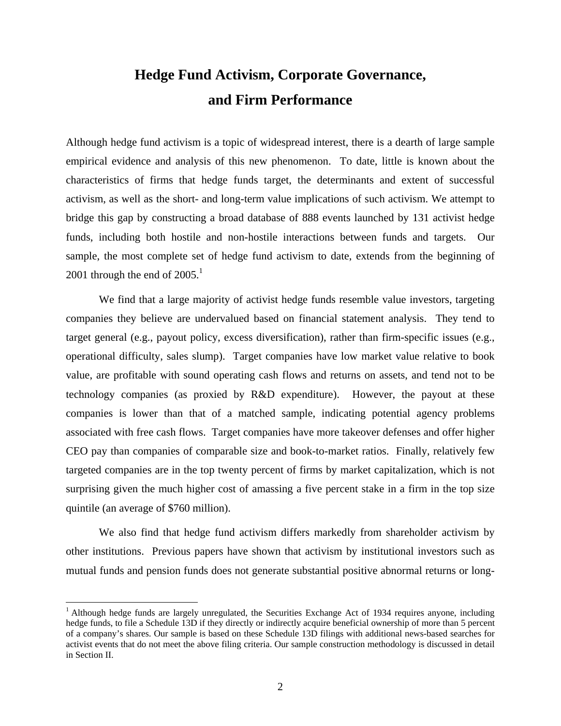# **Hedge Fund Activism, Corporate Governance, and Firm Performance**

Although hedge fund activism is a topic of widespread interest, there is a dearth of large sample empirical evidence and analysis of this new phenomenon. To date, little is known about the characteristics of firms that hedge funds target, the determinants and extent of successful activism, as well as the short- and long-term value implications of such activism. We attempt to bridge this gap by constructing a broad database of 888 events launched by 131 activist hedge funds, including both hostile and non-hostile interactions between funds and targets. Our sample, the most complete set of hedge fund activism to date, extends from the beginning of 2001 through the end of  $2005<sup>1</sup>$ 

We find that a large majority of activist hedge funds resemble value investors, targeting companies they believe are undervalued based on financial statement analysis. They tend to target general (e.g., payout policy, excess diversification), rather than firm-specific issues (e.g., operational difficulty, sales slump). Target companies have low market value relative to book value, are profitable with sound operating cash flows and returns on assets, and tend not to be technology companies (as proxied by R&D expenditure). However, the payout at these companies is lower than that of a matched sample, indicating potential agency problems associated with free cash flows. Target companies have more takeover defenses and offer higher CEO pay than companies of comparable size and book-to-market ratios. Finally, relatively few targeted companies are in the top twenty percent of firms by market capitalization, which is not surprising given the much higher cost of amassing a five percent stake in a firm in the top size quintile (an average of \$760 million).

We also find that hedge fund activism differs markedly from shareholder activism by other institutions. Previous papers have shown that activism by institutional investors such as mutual funds and pension funds does not generate substantial positive abnormal returns or long-

 $\overline{a}$ 

<sup>&</sup>lt;sup>1</sup> Although hedge funds are largely unregulated, the Securities Exchange Act of 1934 requires anyone, including hedge funds, to file a Schedule 13D if they directly or indirectly acquire beneficial ownership of more than 5 percent of a company's shares. Our sample is based on these Schedule 13D filings with additional news-based searches for activist events that do not meet the above filing criteria. Our sample construction methodology is discussed in detail in Section II.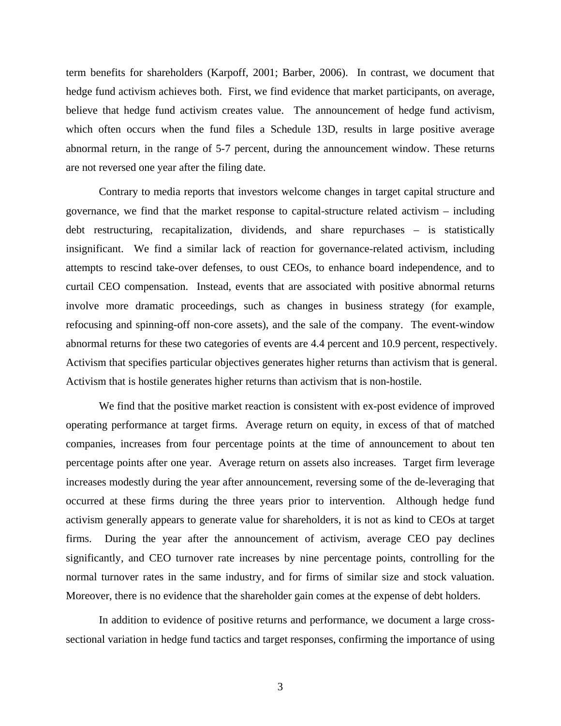term benefits for shareholders (Karpoff, 2001; Barber, 2006). In contrast, we document that hedge fund activism achieves both. First, we find evidence that market participants, on average, believe that hedge fund activism creates value. The announcement of hedge fund activism, which often occurs when the fund files a Schedule 13D, results in large positive average abnormal return, in the range of 5-7 percent, during the announcement window. These returns are not reversed one year after the filing date.

Contrary to media reports that investors welcome changes in target capital structure and governance, we find that the market response to capital-structure related activism – including debt restructuring, recapitalization, dividends, and share repurchases – is statistically insignificant. We find a similar lack of reaction for governance-related activism, including attempts to rescind take-over defenses, to oust CEOs, to enhance board independence, and to curtail CEO compensation. Instead, events that are associated with positive abnormal returns involve more dramatic proceedings, such as changes in business strategy (for example, refocusing and spinning-off non-core assets), and the sale of the company. The event-window abnormal returns for these two categories of events are 4.4 percent and 10.9 percent, respectively. Activism that specifies particular objectives generates higher returns than activism that is general. Activism that is hostile generates higher returns than activism that is non-hostile.

We find that the positive market reaction is consistent with ex-post evidence of improved operating performance at target firms. Average return on equity, in excess of that of matched companies, increases from four percentage points at the time of announcement to about ten percentage points after one year. Average return on assets also increases. Target firm leverage increases modestly during the year after announcement, reversing some of the de-leveraging that occurred at these firms during the three years prior to intervention. Although hedge fund activism generally appears to generate value for shareholders, it is not as kind to CEOs at target firms. During the year after the announcement of activism, average CEO pay declines significantly, and CEO turnover rate increases by nine percentage points, controlling for the normal turnover rates in the same industry, and for firms of similar size and stock valuation. Moreover, there is no evidence that the shareholder gain comes at the expense of debt holders.

In addition to evidence of positive returns and performance, we document a large crosssectional variation in hedge fund tactics and target responses, confirming the importance of using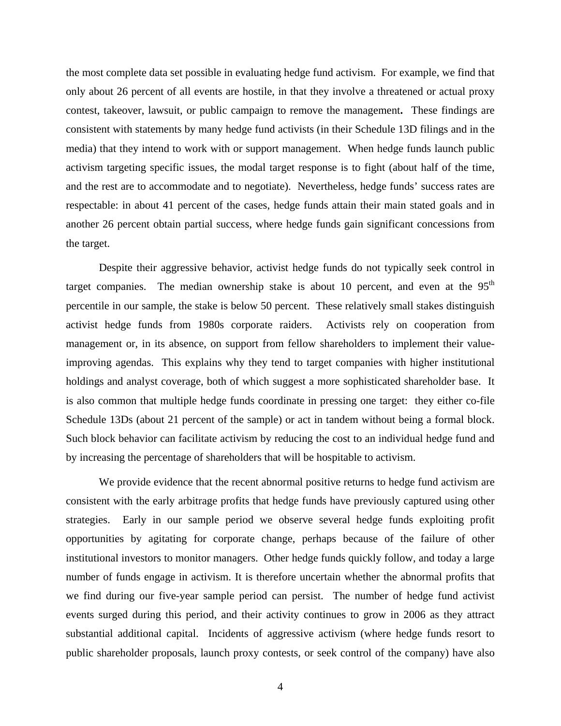the most complete data set possible in evaluating hedge fund activism. For example, we find that only about 26 percent of all events are hostile, in that they involve a threatened or actual proxy contest, takeover, lawsuit, or public campaign to remove the management**.** These findings are consistent with statements by many hedge fund activists (in their Schedule 13D filings and in the media) that they intend to work with or support management. When hedge funds launch public activism targeting specific issues, the modal target response is to fight (about half of the time, and the rest are to accommodate and to negotiate). Nevertheless, hedge funds' success rates are respectable: in about 41 percent of the cases, hedge funds attain their main stated goals and in another 26 percent obtain partial success, where hedge funds gain significant concessions from the target.

Despite their aggressive behavior, activist hedge funds do not typically seek control in target companies. The median ownership stake is about 10 percent, and even at the  $95<sup>th</sup>$ percentile in our sample, the stake is below 50 percent. These relatively small stakes distinguish activist hedge funds from 1980s corporate raiders. Activists rely on cooperation from management or, in its absence, on support from fellow shareholders to implement their valueimproving agendas. This explains why they tend to target companies with higher institutional holdings and analyst coverage, both of which suggest a more sophisticated shareholder base. It is also common that multiple hedge funds coordinate in pressing one target: they either co-file Schedule 13Ds (about 21 percent of the sample) or act in tandem without being a formal block. Such block behavior can facilitate activism by reducing the cost to an individual hedge fund and by increasing the percentage of shareholders that will be hospitable to activism.

We provide evidence that the recent abnormal positive returns to hedge fund activism are consistent with the early arbitrage profits that hedge funds have previously captured using other strategies. Early in our sample period we observe several hedge funds exploiting profit opportunities by agitating for corporate change, perhaps because of the failure of other institutional investors to monitor managers. Other hedge funds quickly follow, and today a large number of funds engage in activism. It is therefore uncertain whether the abnormal profits that we find during our five-year sample period can persist. The number of hedge fund activist events surged during this period, and their activity continues to grow in 2006 as they attract substantial additional capital. Incidents of aggressive activism (where hedge funds resort to public shareholder proposals, launch proxy contests, or seek control of the company) have also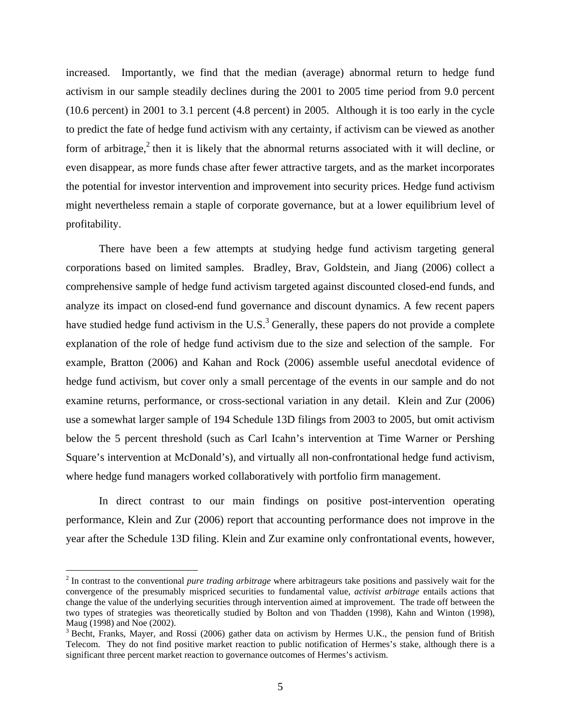increased. Importantly, we find that the median (average) abnormal return to hedge fund activism in our sample steadily declines during the 2001 to 2005 time period from 9.0 percent (10.6 percent) in 2001 to 3.1 percent (4.8 percent) in 2005. Although it is too early in the cycle to predict the fate of hedge fund activism with any certainty, if activism can be viewed as another form of arbitrage,<sup>2</sup> then it is likely that the abnormal returns associated with it will decline, or even disappear, as more funds chase after fewer attractive targets, and as the market incorporates the potential for investor intervention and improvement into security prices. Hedge fund activism might nevertheless remain a staple of corporate governance, but at a lower equilibrium level of profitability.

There have been a few attempts at studying hedge fund activism targeting general corporations based on limited samples. Bradley, Brav, Goldstein, and Jiang (2006) collect a comprehensive sample of hedge fund activism targeted against discounted closed-end funds, and analyze its impact on closed-end fund governance and discount dynamics. A few recent papers have studied hedge fund activism in the U.S.<sup>3</sup> Generally, these papers do not provide a complete explanation of the role of hedge fund activism due to the size and selection of the sample. For example, Bratton (2006) and Kahan and Rock (2006) assemble useful anecdotal evidence of hedge fund activism, but cover only a small percentage of the events in our sample and do not examine returns, performance, or cross-sectional variation in any detail. Klein and Zur (2006) use a somewhat larger sample of 194 Schedule 13D filings from 2003 to 2005, but omit activism below the 5 percent threshold (such as Carl Icahn's intervention at Time Warner or Pershing Square's intervention at McDonald's), and virtually all non-confrontational hedge fund activism, where hedge fund managers worked collaboratively with portfolio firm management.

In direct contrast to our main findings on positive post-intervention operating performance, Klein and Zur (2006) report that accounting performance does not improve in the year after the Schedule 13D filing. Klein and Zur examine only confrontational events, however,

 $\overline{a}$ 

<sup>2</sup> In contrast to the conventional *pure trading arbitrage* where arbitrageurs take positions and passively wait for the convergence of the presumably mispriced securities to fundamental value, *activist arbitrage* entails actions that change the value of the underlying securities through intervention aimed at improvement. The trade off between the two types of strategies was theoretically studied by Bolton and von Thadden (1998), Kahn and Winton (1998), Maug (1998) and Noe (2002).

<sup>&</sup>lt;sup>3</sup> Becht, Franks, Mayer, and Rossi (2006) gather data on activism by Hermes U.K., the pension fund of British Telecom. They do not find positive market reaction to public notification of Hermes's stake, although there is a significant three percent market reaction to governance outcomes of Hermes's activism.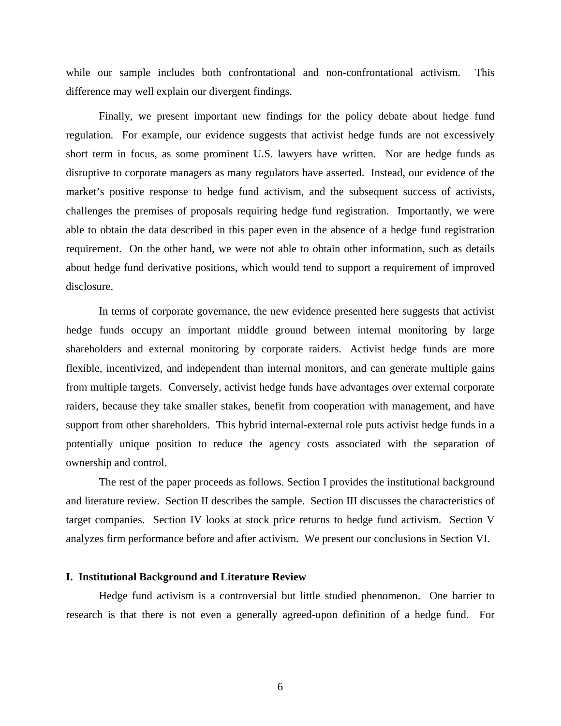while our sample includes both confrontational and non-confrontational activism. This difference may well explain our divergent findings.

Finally, we present important new findings for the policy debate about hedge fund regulation. For example, our evidence suggests that activist hedge funds are not excessively short term in focus, as some prominent U.S. lawyers have written. Nor are hedge funds as disruptive to corporate managers as many regulators have asserted. Instead, our evidence of the market's positive response to hedge fund activism, and the subsequent success of activists, challenges the premises of proposals requiring hedge fund registration. Importantly, we were able to obtain the data described in this paper even in the absence of a hedge fund registration requirement. On the other hand, we were not able to obtain other information, such as details about hedge fund derivative positions, which would tend to support a requirement of improved disclosure.

In terms of corporate governance, the new evidence presented here suggests that activist hedge funds occupy an important middle ground between internal monitoring by large shareholders and external monitoring by corporate raiders. Activist hedge funds are more flexible, incentivized, and independent than internal monitors, and can generate multiple gains from multiple targets. Conversely, activist hedge funds have advantages over external corporate raiders, because they take smaller stakes, benefit from cooperation with management, and have support from other shareholders. This hybrid internal-external role puts activist hedge funds in a potentially unique position to reduce the agency costs associated with the separation of ownership and control.

The rest of the paper proceeds as follows. Section I provides the institutional background and literature review. Section II describes the sample. Section III discusses the characteristics of target companies. Section IV looks at stock price returns to hedge fund activism. Section V analyzes firm performance before and after activism. We present our conclusions in Section VI.

# **I. Institutional Background and Literature Review**

Hedge fund activism is a controversial but little studied phenomenon. One barrier to research is that there is not even a generally agreed-upon definition of a hedge fund. For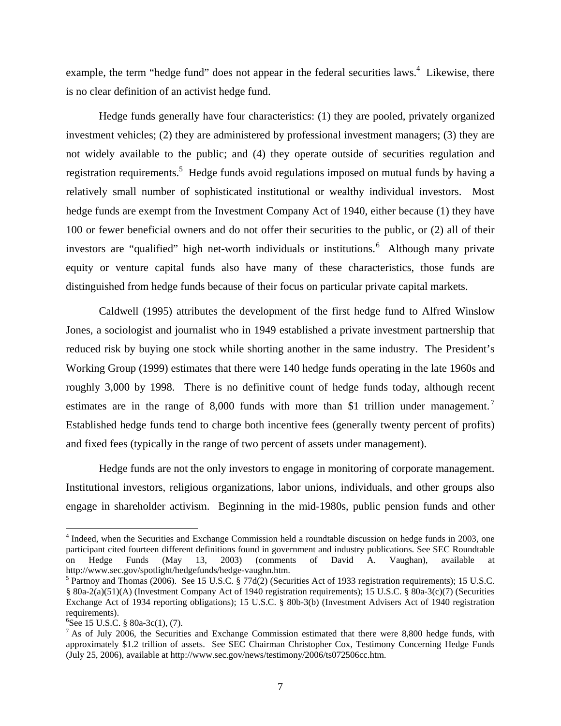example, the term "hedge fund" does not appear in the federal securities laws.<sup>4</sup> Likewise, there is no clear definition of an activist hedge fund.

Hedge funds generally have four characteristics: (1) they are pooled, privately organized investment vehicles; (2) they are administered by professional investment managers; (3) they are not widely available to the public; and (4) they operate outside of securities regulation and registration requirements.<sup>5</sup> Hedge funds avoid regulations imposed on mutual funds by having a relatively small number of sophisticated institutional or wealthy individual investors. Most hedge funds are exempt from the Investment Company Act of 1940, either because (1) they have 100 or fewer beneficial owners and do not offer their securities to the public, or (2) all of their investors are "qualified" high net-worth individuals or institutions. <sup>6</sup> Although many private equity or venture capital funds also have many of these characteristics, those funds are distinguished from hedge funds because of their focus on particular private capital markets.

Caldwell (1995) attributes the development of the first hedge fund to Alfred Winslow Jones, a sociologist and journalist who in 1949 established a private investment partnership that reduced risk by buying one stock while shorting another in the same industry. The President's Working Group (1999) estimates that there were 140 hedge funds operating in the late 1960s and roughly 3,000 by 1998. There is no definitive count of hedge funds today, although recent estimates are in the range of 8,000 funds with more than \$1 trillion under management.<sup>7</sup> Established hedge funds tend to charge both incentive fees (generally twenty percent of profits) and fixed fees (typically in the range of two percent of assets under management).

Hedge funds are not the only investors to engage in monitoring of corporate management. Institutional investors, religious organizations, labor unions, individuals, and other groups also engage in shareholder activism. Beginning in the mid-1980s, public pension funds and other

 $\overline{a}$ 

<sup>&</sup>lt;sup>4</sup> Indeed, when the Securities and Exchange Commission held a roundtable discussion on hedge funds in 2003, one participant cited fourteen different definitions found in government and industry publications. See SEC Roundtable on Hedge Funds (May 13, 2003) (comments of David A. Vaughan), available at http://www.sec.gov/spotlight/hedgefunds/hedge-vaughn.htm.

<sup>&</sup>lt;sup>5</sup> Partnoy and Thomas (2006). See 15 U.S.C. § 77d(2) (Securities Act of 1933 registration requirements); 15 U.S.C. § 80a-2(a)(51)(A) (Investment Company Act of 1940 registration requirements); 15 U.S.C. § 80a-3(c)(7) (Securities Exchange Act of 1934 reporting obligations); 15 U.S.C. § 80b-3(b) (Investment Advisers Act of 1940 registration requirements).

<sup>6</sup> See 15 U.S.C. § 80a-3c(1), (7).

 $^7$  As of July 2006, the Securities and Exchange Commission estimated that there were 8,800 hedge funds, with approximately \$1.2 trillion of assets. See SEC Chairman Christopher Cox, Testimony Concerning Hedge Funds (July 25, 2006), available at http://www.sec.gov/news/testimony/2006/ts072506cc.htm.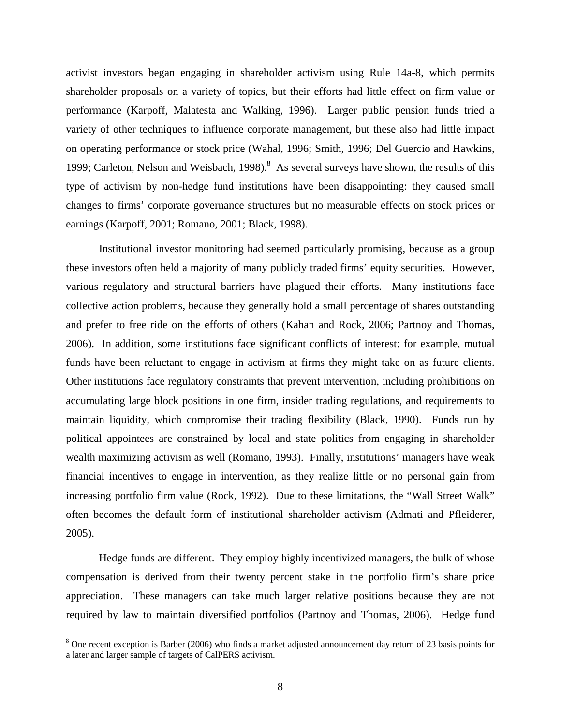activist investors began engaging in shareholder activism using Rule 14a-8, which permits shareholder proposals on a variety of topics, but their efforts had little effect on firm value or performance (Karpoff, Malatesta and Walking, 1996). Larger public pension funds tried a variety of other techniques to influence corporate management, but these also had little impact on operating performance or stock price (Wahal, 1996; Smith, 1996; Del Guercio and Hawkins, 1999; Carleton, Nelson and Weisbach, 1998). $8$  As several surveys have shown, the results of this type of activism by non-hedge fund institutions have been disappointing: they caused small changes to firms' corporate governance structures but no measurable effects on stock prices or earnings (Karpoff, 2001; Romano, 2001; Black, 1998).

Institutional investor monitoring had seemed particularly promising, because as a group these investors often held a majority of many publicly traded firms' equity securities. However, various regulatory and structural barriers have plagued their efforts. Many institutions face collective action problems, because they generally hold a small percentage of shares outstanding and prefer to free ride on the efforts of others (Kahan and Rock, 2006; Partnoy and Thomas, 2006). In addition, some institutions face significant conflicts of interest: for example, mutual funds have been reluctant to engage in activism at firms they might take on as future clients. Other institutions face regulatory constraints that prevent intervention, including prohibitions on accumulating large block positions in one firm, insider trading regulations, and requirements to maintain liquidity, which compromise their trading flexibility (Black, 1990). Funds run by political appointees are constrained by local and state politics from engaging in shareholder wealth maximizing activism as well (Romano, 1993). Finally, institutions' managers have weak financial incentives to engage in intervention, as they realize little or no personal gain from increasing portfolio firm value (Rock, 1992). Due to these limitations, the "Wall Street Walk" often becomes the default form of institutional shareholder activism (Admati and Pfleiderer, 2005).

Hedge funds are different. They employ highly incentivized managers, the bulk of whose compensation is derived from their twenty percent stake in the portfolio firm's share price appreciation. These managers can take much larger relative positions because they are not required by law to maintain diversified portfolios (Partnoy and Thomas, 2006). Hedge fund

<sup>&</sup>lt;sup>8</sup> One recent exception is Barber (2006) who finds a market adjusted announcement day return of 23 basis points for a later and larger sample of targets of CalPERS activism.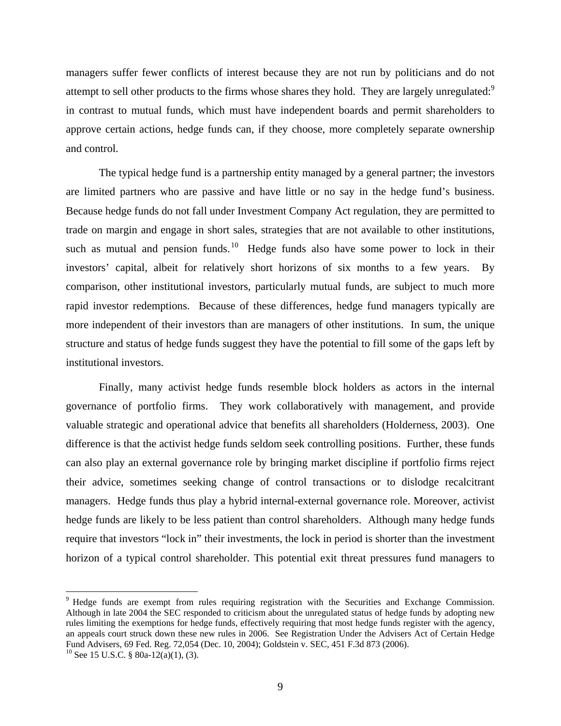managers suffer fewer conflicts of interest because they are not run by politicians and do not attempt to sell other products to the firms whose shares they hold. They are largely unregulated:<sup>9</sup> in contrast to mutual funds, which must have independent boards and permit shareholders to approve certain actions, hedge funds can, if they choose, more completely separate ownership and control.

The typical hedge fund is a partnership entity managed by a general partner; the investors are limited partners who are passive and have little or no say in the hedge fund's business. Because hedge funds do not fall under Investment Company Act regulation, they are permitted to trade on margin and engage in short sales, strategies that are not available to other institutions, such as mutual and pension funds.<sup>10</sup> Hedge funds also have some power to lock in their investors' capital, albeit for relatively short horizons of six months to a few years. By comparison, other institutional investors, particularly mutual funds, are subject to much more rapid investor redemptions. Because of these differences, hedge fund managers typically are more independent of their investors than are managers of other institutions. In sum, the unique structure and status of hedge funds suggest they have the potential to fill some of the gaps left by institutional investors.

Finally, many activist hedge funds resemble block holders as actors in the internal governance of portfolio firms. They work collaboratively with management, and provide valuable strategic and operational advice that benefits all shareholders (Holderness, 2003). One difference is that the activist hedge funds seldom seek controlling positions. Further, these funds can also play an external governance role by bringing market discipline if portfolio firms reject their advice, sometimes seeking change of control transactions or to dislodge recalcitrant managers. Hedge funds thus play a hybrid internal-external governance role. Moreover, activist hedge funds are likely to be less patient than control shareholders. Although many hedge funds require that investors "lock in" their investments, the lock in period is shorter than the investment horizon of a typical control shareholder. This potential exit threat pressures fund managers to

 $\overline{a}$ 

<sup>9</sup> Hedge funds are exempt from rules requiring registration with the Securities and Exchange Commission. Although in late 2004 the SEC responded to criticism about the unregulated status of hedge funds by adopting new rules limiting the exemptions for hedge funds, effectively requiring that most hedge funds register with the agency, an appeals court struck down these new rules in 2006. See Registration Under the Advisers Act of Certain Hedge Fund Advisers, 69 Fed. Reg. 72,054 (Dec. 10, 2004); Goldstein v. SEC, 451 F.3d 873 (2006). <sup>10</sup> See 15 U.S.C. § 80a-12(a)(1), (3).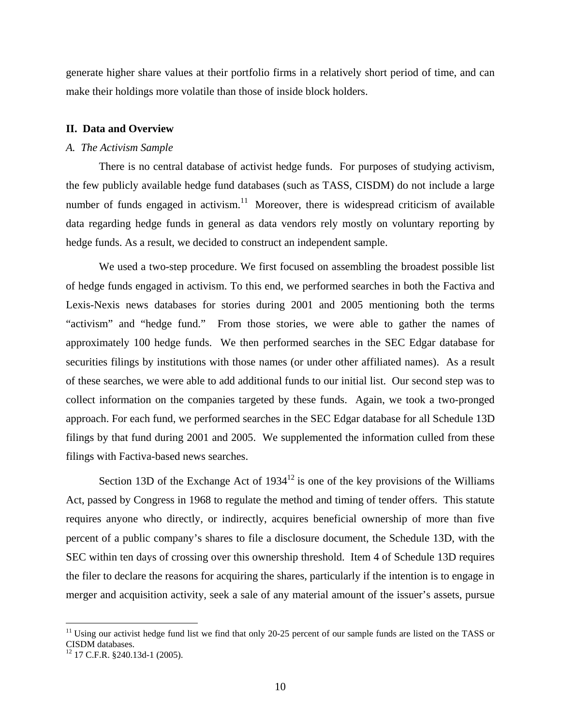generate higher share values at their portfolio firms in a relatively short period of time, and can make their holdings more volatile than those of inside block holders.

#### **II. Data and Overview**

#### *A. The Activism Sample*

 There is no central database of activist hedge funds. For purposes of studying activism, the few publicly available hedge fund databases (such as TASS, CISDM) do not include a large number of funds engaged in activism. $11$  Moreover, there is widespread criticism of available data regarding hedge funds in general as data vendors rely mostly on voluntary reporting by hedge funds. As a result, we decided to construct an independent sample.

We used a two-step procedure. We first focused on assembling the broadest possible list of hedge funds engaged in activism. To this end, we performed searches in both the Factiva and Lexis-Nexis news databases for stories during 2001 and 2005 mentioning both the terms "activism" and "hedge fund." From those stories, we were able to gather the names of approximately 100 hedge funds. We then performed searches in the SEC Edgar database for securities filings by institutions with those names (or under other affiliated names). As a result of these searches, we were able to add additional funds to our initial list. Our second step was to collect information on the companies targeted by these funds. Again, we took a two-pronged approach. For each fund, we performed searches in the SEC Edgar database for all Schedule 13D filings by that fund during 2001 and 2005. We supplemented the information culled from these filings with Factiva-based news searches.

Section 13D of the Exchange Act of  $1934^{12}$  is one of the key provisions of the Williams Act, passed by Congress in 1968 to regulate the method and timing of tender offers. This statute requires anyone who directly, or indirectly, acquires beneficial ownership of more than five percent of a public company's shares to file a disclosure document, the Schedule 13D, with the SEC within ten days of crossing over this ownership threshold. Item 4 of Schedule 13D requires the filer to declare the reasons for acquiring the shares, particularly if the intention is to engage in merger and acquisition activity, seek a sale of any material amount of the issuer's assets, pursue

 $\overline{a}$ 

 $11$  Using our activist hedge fund list we find that only 20-25 percent of our sample funds are listed on the TASS or CISDM databases.

 $12$  17 C.F.R. §240.13d-1 (2005).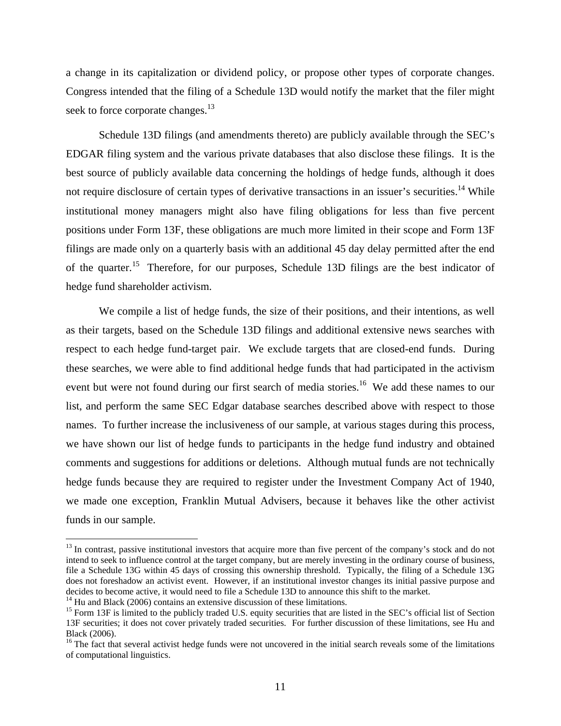a change in its capitalization or dividend policy, or propose other types of corporate changes. Congress intended that the filing of a Schedule 13D would notify the market that the filer might seek to force corporate changes.<sup>13</sup>

Schedule 13D filings (and amendments thereto) are publicly available through the SEC's EDGAR filing system and the various private databases that also disclose these filings. It is the best source of publicly available data concerning the holdings of hedge funds, although it does not require disclosure of certain types of derivative transactions in an issuer's securities.<sup>14</sup> While institutional money managers might also have filing obligations for less than five percent positions under Form 13F, these obligations are much more limited in their scope and Form 13F filings are made only on a quarterly basis with an additional 45 day delay permitted after the end of the quarter.15 Therefore, for our purposes, Schedule 13D filings are the best indicator of hedge fund shareholder activism.

We compile a list of hedge funds, the size of their positions, and their intentions, as well as their targets, based on the Schedule 13D filings and additional extensive news searches with respect to each hedge fund-target pair. We exclude targets that are closed-end funds. During these searches, we were able to find additional hedge funds that had participated in the activism event but were not found during our first search of media stories.<sup>16</sup> We add these names to our list, and perform the same SEC Edgar database searches described above with respect to those names. To further increase the inclusiveness of our sample, at various stages during this process, we have shown our list of hedge funds to participants in the hedge fund industry and obtained comments and suggestions for additions or deletions. Although mutual funds are not technically hedge funds because they are required to register under the Investment Company Act of 1940, we made one exception, Franklin Mutual Advisers, because it behaves like the other activist funds in our sample.

1

<sup>&</sup>lt;sup>13</sup> In contrast, passive institutional investors that acquire more than five percent of the company's stock and do not intend to seek to influence control at the target company, but are merely investing in the ordinary course of business, file a Schedule 13G within 45 days of crossing this ownership threshold. Typically, the filing of a Schedule 13G does not foreshadow an activist event. However, if an institutional investor changes its initial passive purpose and decides to become active, it would need to file a Schedule 13D to announce this shift to the market.<br><sup>14</sup> Hu and Black (2006) contains an extensive discussion of these limitations.

 $15$  Form 13F is limited to the publicly traded U.S. equity securities that are listed in the SEC's official list of Section 13F securities; it does not cover privately traded securities. For further discussion of these limitations, see Hu and Black (2006).

<sup>&</sup>lt;sup>16</sup> The fact that several activist hedge funds were not uncovered in the initial search reveals some of the limitations of computational linguistics.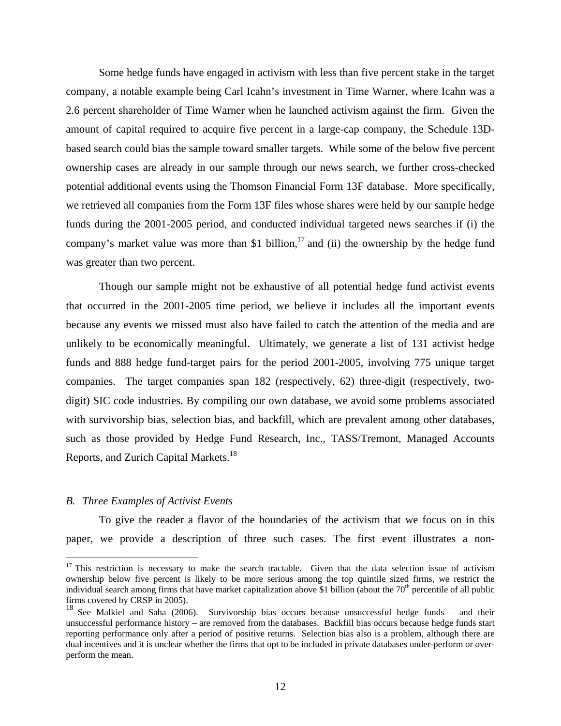Some hedge funds have engaged in activism with less than five percent stake in the target company, a notable example being Carl Icahn's investment in Time Warner, where Icahn was a 2.6 percent shareholder of Time Warner when he launched activism against the firm. Given the amount of capital required to acquire five percent in a large-cap company, the Schedule 13Dbased search could bias the sample toward smaller targets. While some of the below five percent ownership cases are already in our sample through our news search, we further cross-checked potential additional events using the Thomson Financial Form 13F database. More specifically, we retrieved all companies from the Form 13F files whose shares were held by our sample hedge funds during the 2001-2005 period, and conducted individual targeted news searches if (i) the company's market value was more than \$1 billion,<sup>17</sup> and (ii) the ownership by the hedge fund was greater than two percent.

Though our sample might not be exhaustive of all potential hedge fund activist events that occurred in the 2001-2005 time period, we believe it includes all the important events because any events we missed must also have failed to catch the attention of the media and are unlikely to be economically meaningful. Ultimately, we generate a list of 131 activist hedge funds and 888 hedge fund-target pairs for the period 2001-2005, involving 775 unique target companies. The target companies span 182 (respectively, 62) three-digit (respectively, twodigit) SIC code industries. By compiling our own database, we avoid some problems associated with survivorship bias, selection bias, and backfill, which are prevalent among other databases, such as those provided by Hedge Fund Research, Inc., TASS/Tremont, Managed Accounts Reports, and Zurich Capital Markets.<sup>18</sup>

## *B. Three Examples of Activist Events*

 $\overline{a}$ 

To give the reader a flavor of the boundaries of the activism that we focus on in this paper, we provide a description of three such cases. The first event illustrates a non-

 $17$  This restriction is necessary to make the search tractable. Given that the data selection issue of activism ownership below five percent is likely to be more serious among the top quintile sized firms, we restrict the individual search among firms that have market capitalization above \$1 billion (about the  $70<sup>th</sup>$  percentile of all public firms covered by CRSP in 2005).

<sup>&</sup>lt;sup>18</sup> See Malkiel and Saha (2006). Survivorship bias occurs because unsuccessful hedge funds – and their unsuccessful performance history – are removed from the databases. Backfill bias occurs because hedge funds start reporting performance only after a period of positive returns. Selection bias also is a problem, although there are dual incentives and it is unclear whether the firms that opt to be included in private databases under-perform or overperform the mean.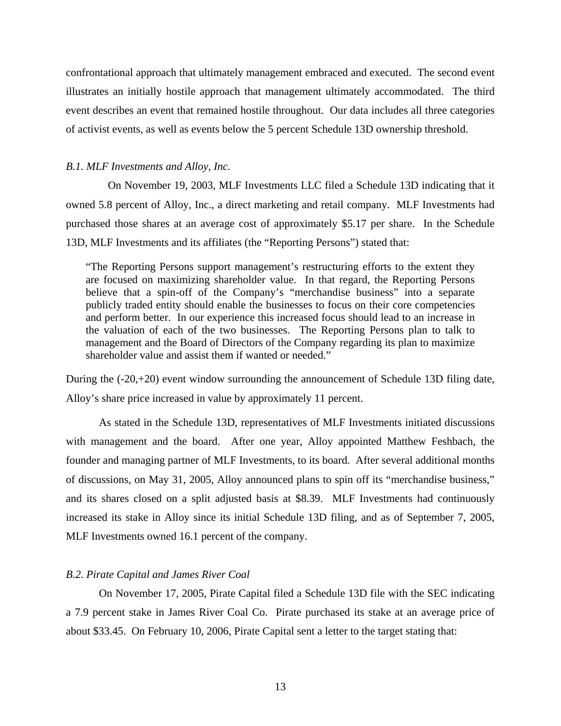confrontational approach that ultimately management embraced and executed. The second event illustrates an initially hostile approach that management ultimately accommodated. The third event describes an event that remained hostile throughout. Our data includes all three categories of activist events, as well as events below the 5 percent Schedule 13D ownership threshold.

#### *B.1. MLF Investments and Alloy, Inc.*

 On November 19, 2003, MLF Investments LLC filed a Schedule 13D indicating that it owned 5.8 percent of Alloy, Inc., a direct marketing and retail company. MLF Investments had purchased those shares at an average cost of approximately \$5.17 per share. In the Schedule 13D, MLF Investments and its affiliates (the "Reporting Persons") stated that:

"The Reporting Persons support management's restructuring efforts to the extent they are focused on maximizing shareholder value. In that regard, the Reporting Persons believe that a spin-off of the Company's "merchandise business" into a separate publicly traded entity should enable the businesses to focus on their core competencies and perform better. In our experience this increased focus should lead to an increase in the valuation of each of the two businesses. The Reporting Persons plan to talk to management and the Board of Directors of the Company regarding its plan to maximize shareholder value and assist them if wanted or needed."

During the (-20,+20) event window surrounding the announcement of Schedule 13D filing date, Alloy's share price increased in value by approximately 11 percent.

As stated in the Schedule 13D, representatives of MLF Investments initiated discussions with management and the board. After one year, Alloy appointed Matthew Feshbach, the founder and managing partner of MLF Investments, to its board. After several additional months of discussions, on May 31, 2005, Alloy announced plans to spin off its "merchandise business," and its shares closed on a split adjusted basis at \$8.39. MLF Investments had continuously increased its stake in Alloy since its initial Schedule 13D filing, and as of September 7, 2005, MLF Investments owned 16.1 percent of the company.

### *B.2. Pirate Capital and James River Coal*

On November 17, 2005, Pirate Capital filed a Schedule 13D file with the SEC indicating a 7.9 percent stake in James River Coal Co. Pirate purchased its stake at an average price of about \$33.45. On February 10, 2006, Pirate Capital sent a letter to the target stating that: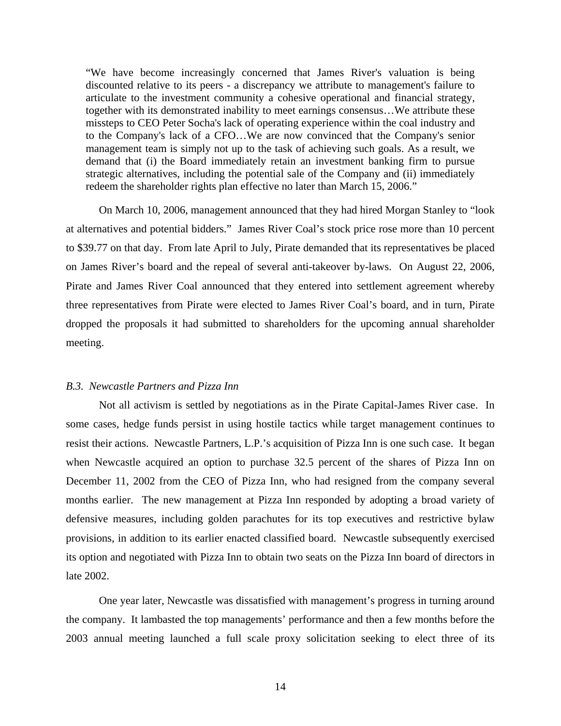"We have become increasingly concerned that James River's valuation is being discounted relative to its peers - a discrepancy we attribute to management's failure to articulate to the investment community a cohesive operational and financial strategy, together with its demonstrated inability to meet earnings consensus…We attribute these missteps to CEO Peter Socha's lack of operating experience within the coal industry and to the Company's lack of a CFO…We are now convinced that the Company's senior management team is simply not up to the task of achieving such goals. As a result, we demand that (i) the Board immediately retain an investment banking firm to pursue strategic alternatives, including the potential sale of the Company and (ii) immediately redeem the shareholder rights plan effective no later than March 15, 2006."

 On March 10, 2006, management announced that they had hired Morgan Stanley to "look at alternatives and potential bidders." James River Coal's stock price rose more than 10 percent to \$39.77 on that day. From late April to July, Pirate demanded that its representatives be placed on James River's board and the repeal of several anti-takeover by-laws. On August 22, 2006, Pirate and James River Coal announced that they entered into settlement agreement whereby three representatives from Pirate were elected to James River Coal's board, and in turn, Pirate dropped the proposals it had submitted to shareholders for the upcoming annual shareholder meeting.

# *B.3. Newcastle Partners and Pizza Inn*

Not all activism is settled by negotiations as in the Pirate Capital-James River case. In some cases, hedge funds persist in using hostile tactics while target management continues to resist their actions. Newcastle Partners, L.P.'s acquisition of Pizza Inn is one such case. It began when Newcastle acquired an option to purchase 32.5 percent of the shares of Pizza Inn on December 11, 2002 from the CEO of Pizza Inn, who had resigned from the company several months earlier. The new management at Pizza Inn responded by adopting a broad variety of defensive measures, including golden parachutes for its top executives and restrictive bylaw provisions, in addition to its earlier enacted classified board. Newcastle subsequently exercised its option and negotiated with Pizza Inn to obtain two seats on the Pizza Inn board of directors in late 2002.

One year later, Newcastle was dissatisfied with management's progress in turning around the company. It lambasted the top managements' performance and then a few months before the 2003 annual meeting launched a full scale proxy solicitation seeking to elect three of its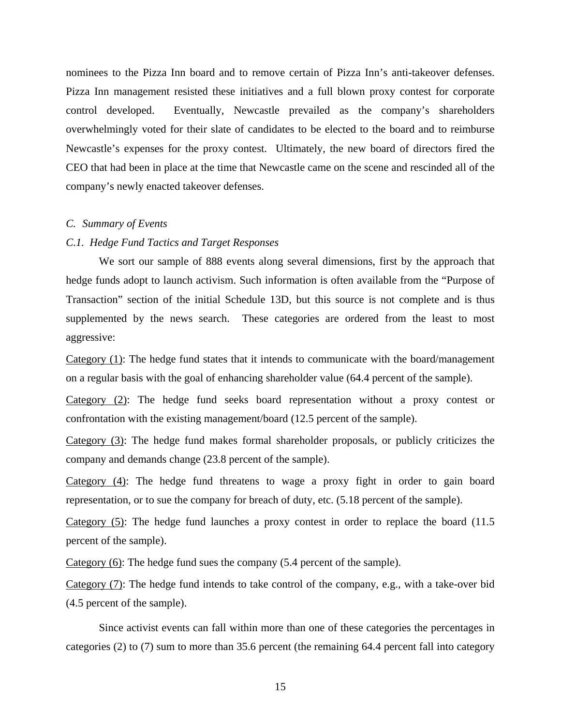nominees to the Pizza Inn board and to remove certain of Pizza Inn's anti-takeover defenses. Pizza Inn management resisted these initiatives and a full blown proxy contest for corporate control developed. Eventually, Newcastle prevailed as the company's shareholders overwhelmingly voted for their slate of candidates to be elected to the board and to reimburse Newcastle's expenses for the proxy contest. Ultimately, the new board of directors fired the CEO that had been in place at the time that Newcastle came on the scene and rescinded all of the company's newly enacted takeover defenses.

## *C. Summary of Events*

## *C.1. Hedge Fund Tactics and Target Responses*

We sort our sample of 888 events along several dimensions, first by the approach that hedge funds adopt to launch activism. Such information is often available from the "Purpose of Transaction" section of the initial Schedule 13D, but this source is not complete and is thus supplemented by the news search. These categories are ordered from the least to most aggressive:

Category (1): The hedge fund states that it intends to communicate with the board/management on a regular basis with the goal of enhancing shareholder value (64.4 percent of the sample).

Category (2): The hedge fund seeks board representation without a proxy contest or confrontation with the existing management/board (12.5 percent of the sample).

Category (3): The hedge fund makes formal shareholder proposals, or publicly criticizes the company and demands change (23.8 percent of the sample).

Category (4): The hedge fund threatens to wage a proxy fight in order to gain board representation, or to sue the company for breach of duty, etc. (5.18 percent of the sample).

Category (5): The hedge fund launches a proxy contest in order to replace the board (11.5 percent of the sample).

Category (6): The hedge fund sues the company (5.4 percent of the sample).

Category (7): The hedge fund intends to take control of the company, e.g., with a take-over bid (4.5 percent of the sample).

Since activist events can fall within more than one of these categories the percentages in categories (2) to (7) sum to more than 35.6 percent (the remaining 64.4 percent fall into category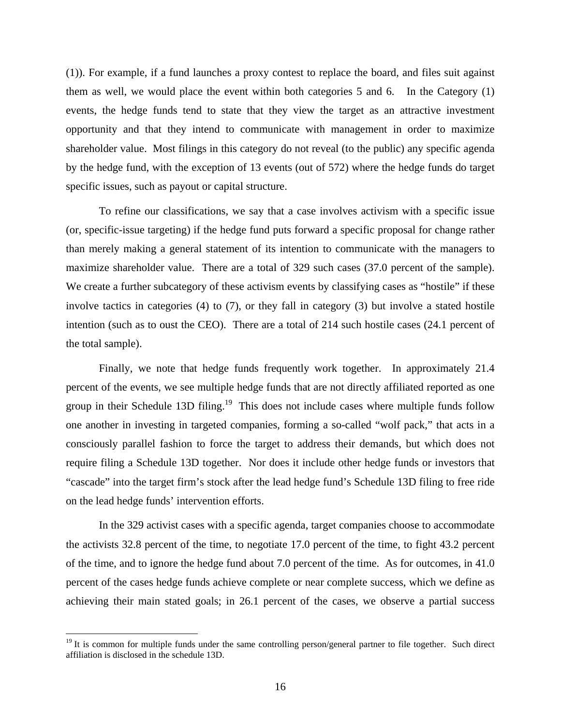(1)). For example, if a fund launches a proxy contest to replace the board, and files suit against them as well, we would place the event within both categories 5 and 6. In the Category (1) events, the hedge funds tend to state that they view the target as an attractive investment opportunity and that they intend to communicate with management in order to maximize shareholder value. Most filings in this category do not reveal (to the public) any specific agenda by the hedge fund, with the exception of 13 events (out of 572) where the hedge funds do target specific issues, such as payout or capital structure.

To refine our classifications, we say that a case involves activism with a specific issue (or, specific-issue targeting) if the hedge fund puts forward a specific proposal for change rather than merely making a general statement of its intention to communicate with the managers to maximize shareholder value. There are a total of 329 such cases (37.0 percent of the sample). We create a further subcategory of these activism events by classifying cases as "hostile" if these involve tactics in categories (4) to (7), or they fall in category (3) but involve a stated hostile intention (such as to oust the CEO). There are a total of 214 such hostile cases (24.1 percent of the total sample).

Finally, we note that hedge funds frequently work together. In approximately 21.4 percent of the events, we see multiple hedge funds that are not directly affiliated reported as one group in their Schedule 13D filing.<sup>19</sup> This does not include cases where multiple funds follow one another in investing in targeted companies, forming a so-called "wolf pack," that acts in a consciously parallel fashion to force the target to address their demands, but which does not require filing a Schedule 13D together. Nor does it include other hedge funds or investors that "cascade" into the target firm's stock after the lead hedge fund's Schedule 13D filing to free ride on the lead hedge funds' intervention efforts.

In the 329 activist cases with a specific agenda, target companies choose to accommodate the activists 32.8 percent of the time, to negotiate 17.0 percent of the time, to fight 43.2 percent of the time, and to ignore the hedge fund about 7.0 percent of the time. As for outcomes, in 41.0 percent of the cases hedge funds achieve complete or near complete success, which we define as achieving their main stated goals; in 26.1 percent of the cases, we observe a partial success

 $\overline{a}$ 

<sup>&</sup>lt;sup>19</sup> It is common for multiple funds under the same controlling person/general partner to file together. Such direct affiliation is disclosed in the schedule 13D.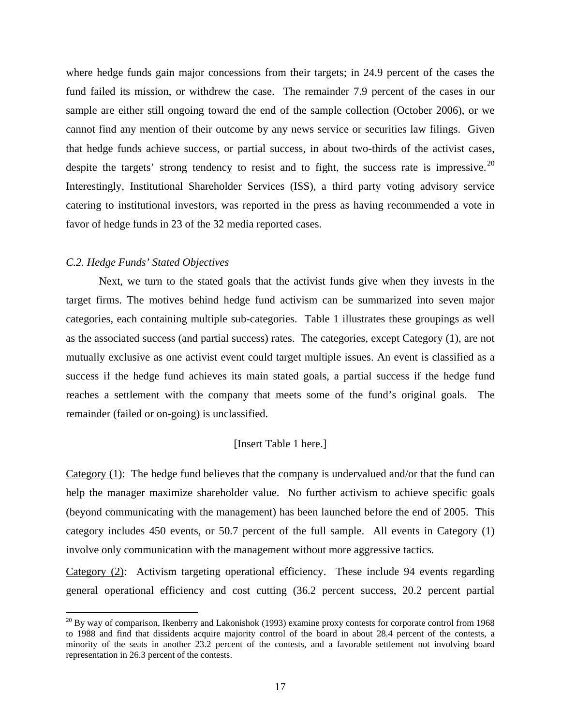where hedge funds gain major concessions from their targets; in 24.9 percent of the cases the fund failed its mission, or withdrew the case. The remainder 7.9 percent of the cases in our sample are either still ongoing toward the end of the sample collection (October 2006), or we cannot find any mention of their outcome by any news service or securities law filings. Given that hedge funds achieve success, or partial success, in about two-thirds of the activist cases, despite the targets' strong tendency to resist and to fight, the success rate is impressive.<sup>20</sup> Interestingly, Institutional Shareholder Services (ISS), a third party voting advisory service catering to institutional investors, was reported in the press as having recommended a vote in favor of hedge funds in 23 of the 32 media reported cases.

### *C.2. Hedge Funds' Stated Objectives*

<u>.</u>

Next, we turn to the stated goals that the activist funds give when they invests in the target firms. The motives behind hedge fund activism can be summarized into seven major categories, each containing multiple sub-categories. Table 1 illustrates these groupings as well as the associated success (and partial success) rates. The categories, except Category (1), are not mutually exclusive as one activist event could target multiple issues. An event is classified as a success if the hedge fund achieves its main stated goals, a partial success if the hedge fund reaches a settlement with the company that meets some of the fund's original goals. The remainder (failed or on-going) is unclassified.

# [Insert Table 1 here.]

Category (1): The hedge fund believes that the company is undervalued and/or that the fund can help the manager maximize shareholder value. No further activism to achieve specific goals (beyond communicating with the management) has been launched before the end of 2005. This category includes 450 events, or 50.7 percent of the full sample. All events in Category (1) involve only communication with the management without more aggressive tactics.

Category (2): Activism targeting operational efficiency. These include 94 events regarding general operational efficiency and cost cutting (36.2 percent success, 20.2 percent partial

 $^{20}$  By way of comparison, Ikenberry and Lakonishok (1993) examine proxy contests for corporate control from 1968 to 1988 and find that dissidents acquire majority control of the board in about 28.4 percent of the contests, a minority of the seats in another 23.2 percent of the contests, and a favorable settlement not involving board representation in 26.3 percent of the contests.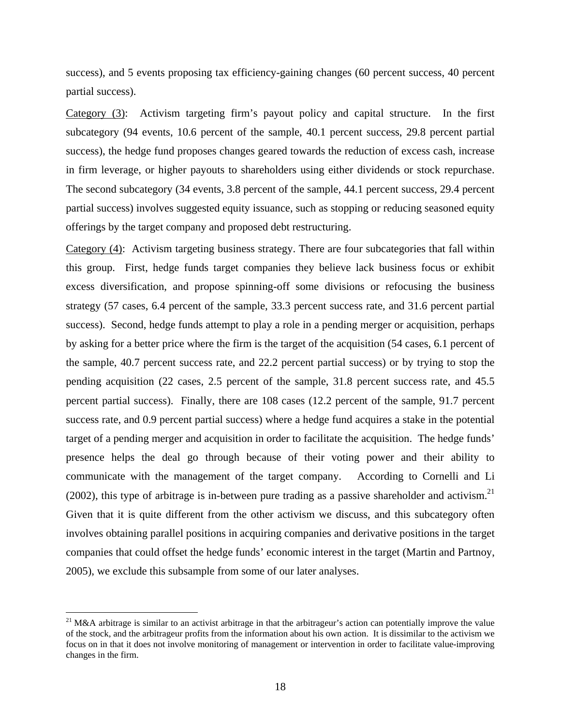success), and 5 events proposing tax efficiency-gaining changes (60 percent success, 40 percent partial success).

Category (3): Activism targeting firm's payout policy and capital structure. In the first subcategory (94 events, 10.6 percent of the sample, 40.1 percent success, 29.8 percent partial success), the hedge fund proposes changes geared towards the reduction of excess cash, increase in firm leverage, or higher payouts to shareholders using either dividends or stock repurchase. The second subcategory (34 events, 3.8 percent of the sample, 44.1 percent success, 29.4 percent partial success) involves suggested equity issuance, such as stopping or reducing seasoned equity offerings by the target company and proposed debt restructuring.

Category (4): Activism targeting business strategy. There are four subcategories that fall within this group. First, hedge funds target companies they believe lack business focus or exhibit excess diversification, and propose spinning-off some divisions or refocusing the business strategy (57 cases, 6.4 percent of the sample, 33.3 percent success rate, and 31.6 percent partial success). Second, hedge funds attempt to play a role in a pending merger or acquisition, perhaps by asking for a better price where the firm is the target of the acquisition (54 cases, 6.1 percent of the sample, 40.7 percent success rate, and 22.2 percent partial success) or by trying to stop the pending acquisition (22 cases, 2.5 percent of the sample, 31.8 percent success rate, and 45.5 percent partial success). Finally, there are 108 cases (12.2 percent of the sample, 91.7 percent success rate, and 0.9 percent partial success) where a hedge fund acquires a stake in the potential target of a pending merger and acquisition in order to facilitate the acquisition. The hedge funds' presence helps the deal go through because of their voting power and their ability to communicate with the management of the target company. According to Cornelli and Li (2002), this type of arbitrage is in-between pure trading as a passive shareholder and activism.<sup>21</sup> Given that it is quite different from the other activism we discuss, and this subcategory often involves obtaining parallel positions in acquiring companies and derivative positions in the target companies that could offset the hedge funds' economic interest in the target (Martin and Partnoy, 2005), we exclude this subsample from some of our later analyses.

<u>.</u>

<sup>&</sup>lt;sup>21</sup> M&A arbitrage is similar to an activist arbitrage in that the arbitrageur's action can potentially improve the value of the stock, and the arbitrageur profits from the information about his own action. It is dissimilar to the activism we focus on in that it does not involve monitoring of management or intervention in order to facilitate value-improving changes in the firm.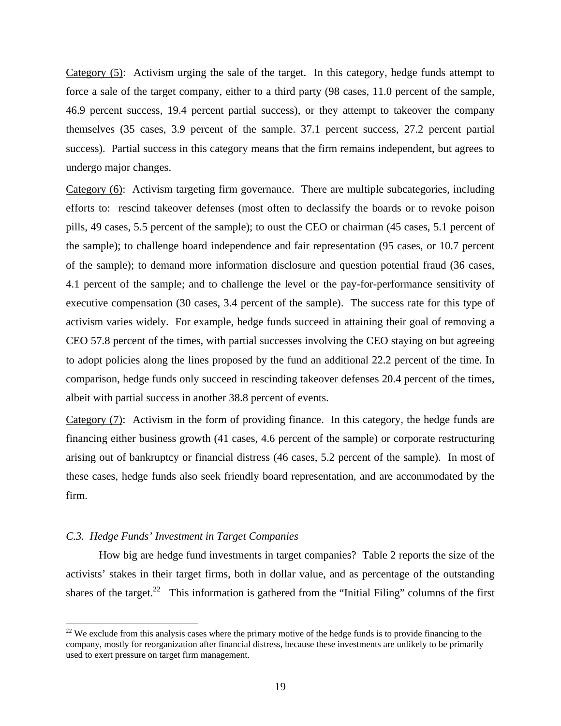Category (5): Activism urging the sale of the target. In this category, hedge funds attempt to force a sale of the target company, either to a third party (98 cases, 11.0 percent of the sample, 46.9 percent success, 19.4 percent partial success), or they attempt to takeover the company themselves (35 cases, 3.9 percent of the sample. 37.1 percent success, 27.2 percent partial success). Partial success in this category means that the firm remains independent, but agrees to undergo major changes.

Category (6): Activism targeting firm governance. There are multiple subcategories, including efforts to: rescind takeover defenses (most often to declassify the boards or to revoke poison pills, 49 cases, 5.5 percent of the sample); to oust the CEO or chairman (45 cases, 5.1 percent of the sample); to challenge board independence and fair representation (95 cases, or 10.7 percent of the sample); to demand more information disclosure and question potential fraud (36 cases, 4.1 percent of the sample; and to challenge the level or the pay-for-performance sensitivity of executive compensation (30 cases, 3.4 percent of the sample). The success rate for this type of activism varies widely. For example, hedge funds succeed in attaining their goal of removing a CEO 57.8 percent of the times, with partial successes involving the CEO staying on but agreeing to adopt policies along the lines proposed by the fund an additional 22.2 percent of the time. In comparison, hedge funds only succeed in rescinding takeover defenses 20.4 percent of the times, albeit with partial success in another 38.8 percent of events.

Category (7): Activism in the form of providing finance. In this category, the hedge funds are financing either business growth (41 cases, 4.6 percent of the sample) or corporate restructuring arising out of bankruptcy or financial distress (46 cases, 5.2 percent of the sample). In most of these cases, hedge funds also seek friendly board representation, and are accommodated by the firm.

## *C.3. Hedge Funds' Investment in Target Companies*

 $\overline{a}$ 

How big are hedge fund investments in target companies? Table 2 reports the size of the activists' stakes in their target firms, both in dollar value, and as percentage of the outstanding shares of the target.<sup>22</sup> This information is gathered from the "Initial Filing" columns of the first

 $22$  We exclude from this analysis cases where the primary motive of the hedge funds is to provide financing to the company, mostly for reorganization after financial distress, because these investments are unlikely to be primarily used to exert pressure on target firm management.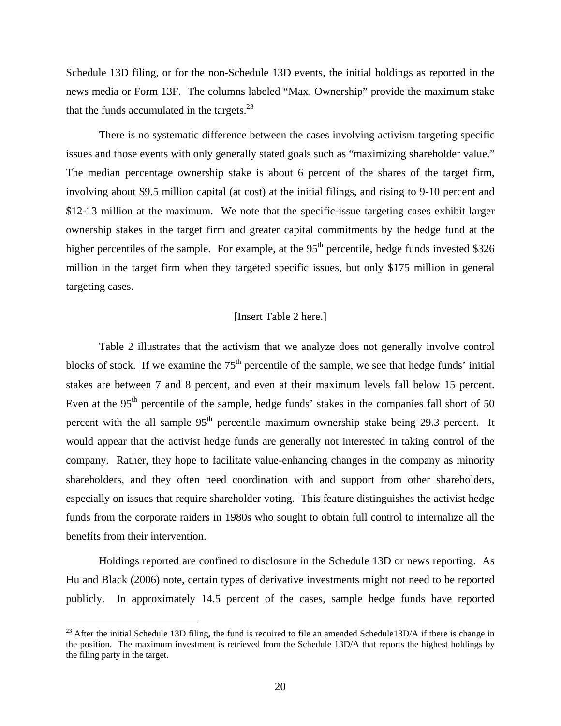Schedule 13D filing, or for the non-Schedule 13D events, the initial holdings as reported in the news media or Form 13F. The columns labeled "Max. Ownership" provide the maximum stake that the funds accumulated in the targets. $23$ 

There is no systematic difference between the cases involving activism targeting specific issues and those events with only generally stated goals such as "maximizing shareholder value." The median percentage ownership stake is about 6 percent of the shares of the target firm, involving about \$9.5 million capital (at cost) at the initial filings, and rising to 9-10 percent and \$12-13 million at the maximum. We note that the specific-issue targeting cases exhibit larger ownership stakes in the target firm and greater capital commitments by the hedge fund at the higher percentiles of the sample. For example, at the  $95<sup>th</sup>$  percentile, hedge funds invested \$326 million in the target firm when they targeted specific issues, but only \$175 million in general targeting cases.

# [Insert Table 2 here.]

Table 2 illustrates that the activism that we analyze does not generally involve control blocks of stock. If we examine the  $75<sup>th</sup>$  percentile of the sample, we see that hedge funds' initial stakes are between 7 and 8 percent, and even at their maximum levels fall below 15 percent. Even at the  $95<sup>th</sup>$  percentile of the sample, hedge funds' stakes in the companies fall short of 50 percent with the all sample  $95<sup>th</sup>$  percentile maximum ownership stake being 29.3 percent. It would appear that the activist hedge funds are generally not interested in taking control of the company. Rather, they hope to facilitate value-enhancing changes in the company as minority shareholders, and they often need coordination with and support from other shareholders, especially on issues that require shareholder voting. This feature distinguishes the activist hedge funds from the corporate raiders in 1980s who sought to obtain full control to internalize all the benefits from their intervention.

Holdings reported are confined to disclosure in the Schedule 13D or news reporting. As Hu and Black (2006) note, certain types of derivative investments might not need to be reported publicly. In approximately 14.5 percent of the cases, sample hedge funds have reported

 $\overline{a}$ 

 $^{23}$  After the initial Schedule 13D filing, the fund is required to file an amended Schedule13D/A if there is change in the position. The maximum investment is retrieved from the Schedule 13D/A that reports the highest holdings by the filing party in the target.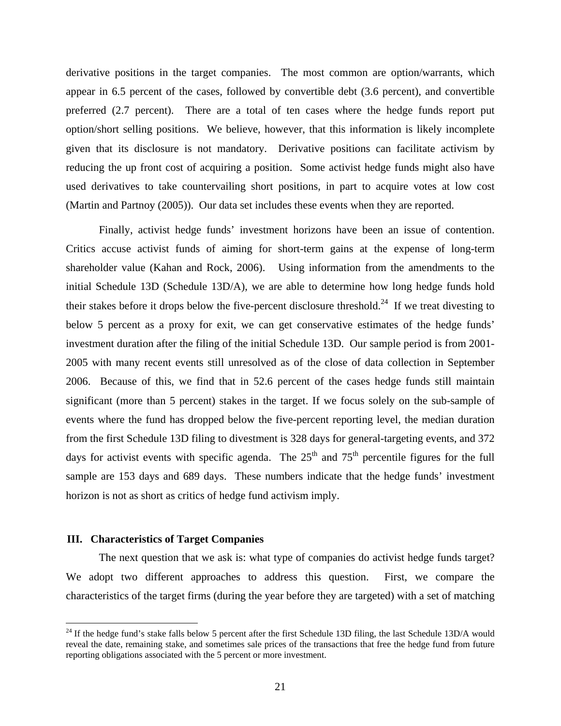derivative positions in the target companies. The most common are option/warrants, which appear in 6.5 percent of the cases, followed by convertible debt (3.6 percent), and convertible preferred (2.7 percent). There are a total of ten cases where the hedge funds report put option/short selling positions. We believe, however, that this information is likely incomplete given that its disclosure is not mandatory. Derivative positions can facilitate activism by reducing the up front cost of acquiring a position. Some activist hedge funds might also have used derivatives to take countervailing short positions, in part to acquire votes at low cost (Martin and Partnoy (2005)). Our data set includes these events when they are reported.

Finally, activist hedge funds' investment horizons have been an issue of contention. Critics accuse activist funds of aiming for short-term gains at the expense of long-term shareholder value (Kahan and Rock, 2006). Using information from the amendments to the initial Schedule 13D (Schedule 13D/A), we are able to determine how long hedge funds hold their stakes before it drops below the five-percent disclosure threshold.<sup>24</sup> If we treat divesting to below 5 percent as a proxy for exit, we can get conservative estimates of the hedge funds' investment duration after the filing of the initial Schedule 13D. Our sample period is from 2001- 2005 with many recent events still unresolved as of the close of data collection in September 2006. Because of this, we find that in 52.6 percent of the cases hedge funds still maintain significant (more than 5 percent) stakes in the target. If we focus solely on the sub-sample of events where the fund has dropped below the five-percent reporting level, the median duration from the first Schedule 13D filing to divestment is 328 days for general-targeting events, and 372 days for activist events with specific agenda. The  $25<sup>th</sup>$  and  $75<sup>th</sup>$  percentile figures for the full sample are 153 days and 689 days. These numbers indicate that the hedge funds' investment horizon is not as short as critics of hedge fund activism imply.

## **III. Characteristics of Target Companies**

1

The next question that we ask is: what type of companies do activist hedge funds target? We adopt two different approaches to address this question. First, we compare the characteristics of the target firms (during the year before they are targeted) with a set of matching

 $^{24}$  If the hedge fund's stake falls below 5 percent after the first Schedule 13D filing, the last Schedule 13D/A would reveal the date, remaining stake, and sometimes sale prices of the transactions that free the hedge fund from future reporting obligations associated with the 5 percent or more investment.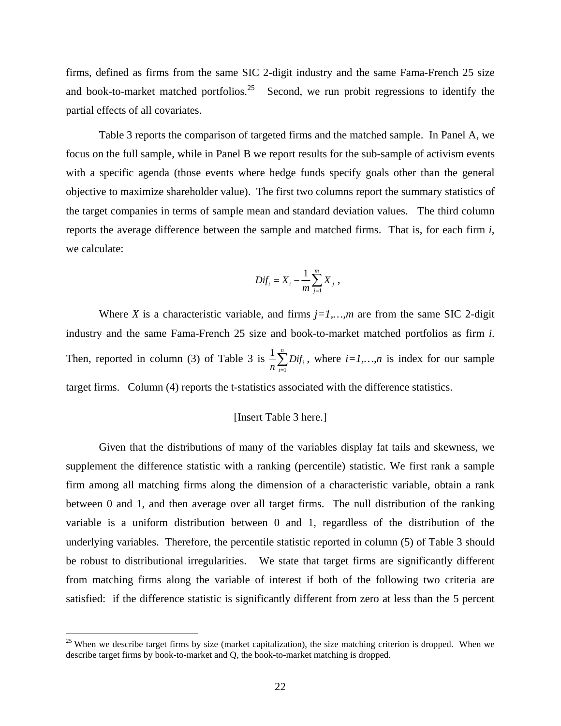firms, defined as firms from the same SIC 2-digit industry and the same Fama-French 25 size and book-to-market matched portfolios.<sup>25</sup> Second, we run probit regressions to identify the partial effects of all covariates.

Table 3 reports the comparison of targeted firms and the matched sample. In Panel A, we focus on the full sample, while in Panel B we report results for the sub-sample of activism events with a specific agenda (those events where hedge funds specify goals other than the general objective to maximize shareholder value). The first two columns report the summary statistics of the target companies in terms of sample mean and standard deviation values. The third column reports the average difference between the sample and matched firms. That is, for each firm *i*, we calculate:

$$
Dif_i = X_i - \frac{1}{m}\sum_{j=1}^m X_j,
$$

Where *X* is a characteristic variable, and firms  $i=1,...,m$  are from the same SIC 2-digit industry and the same Fama-French 25 size and book-to-market matched portfolios as firm *i*. Then, reported in column (3) of Table 3 is  $\frac{1}{n} \sum_{i=1}^{n}$  $\sum_{i=1}$   $\nu_{ij}$ *Dif*  $\frac{1}{n} \sum_{i=1}^{n} Dif_i$ , where  $i=1,...,n$  is index for our sample target firms. Column (4) reports the t-statistics associated with the difference statistics.

#### [Insert Table 3 here.]

Given that the distributions of many of the variables display fat tails and skewness, we supplement the difference statistic with a ranking (percentile) statistic. We first rank a sample firm among all matching firms along the dimension of a characteristic variable, obtain a rank between 0 and 1, and then average over all target firms. The null distribution of the ranking variable is a uniform distribution between 0 and 1, regardless of the distribution of the underlying variables. Therefore, the percentile statistic reported in column (5) of Table 3 should be robust to distributional irregularities. We state that target firms are significantly different from matching firms along the variable of interest if both of the following two criteria are satisfied: if the difference statistic is significantly different from zero at less than the 5 percent

 $\overline{a}$ 

 $25$  When we describe target firms by size (market capitalization), the size matching criterion is dropped. When we describe target firms by book-to-market and Q, the book-to-market matching is dropped.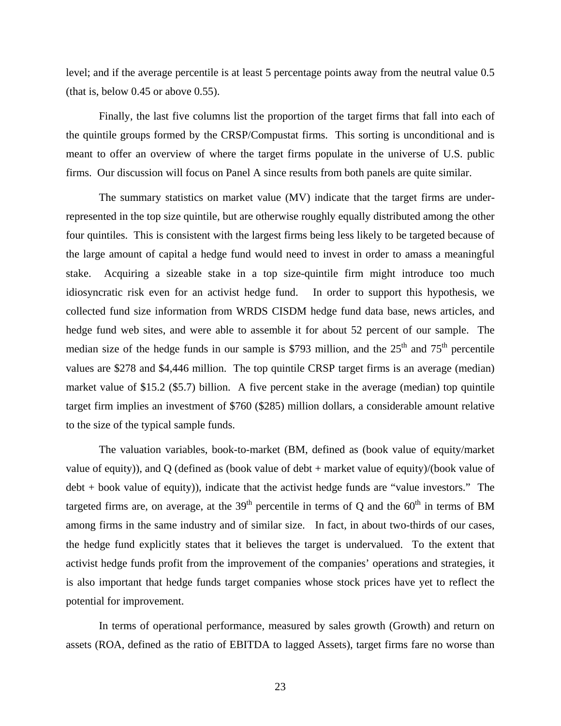level; and if the average percentile is at least 5 percentage points away from the neutral value 0.5 (that is, below 0.45 or above 0.55).

Finally, the last five columns list the proportion of the target firms that fall into each of the quintile groups formed by the CRSP/Compustat firms. This sorting is unconditional and is meant to offer an overview of where the target firms populate in the universe of U.S. public firms. Our discussion will focus on Panel A since results from both panels are quite similar.

The summary statistics on market value (MV) indicate that the target firms are underrepresented in the top size quintile, but are otherwise roughly equally distributed among the other four quintiles. This is consistent with the largest firms being less likely to be targeted because of the large amount of capital a hedge fund would need to invest in order to amass a meaningful stake. Acquiring a sizeable stake in a top size-quintile firm might introduce too much idiosyncratic risk even for an activist hedge fund. In order to support this hypothesis, we collected fund size information from WRDS CISDM hedge fund data base, news articles, and hedge fund web sites, and were able to assemble it for about 52 percent of our sample. The median size of the hedge funds in our sample is \$793 million, and the  $25<sup>th</sup>$  and  $75<sup>th</sup>$  percentile values are \$278 and \$4,446 million. The top quintile CRSP target firms is an average (median) market value of \$15.2 (\$5.7) billion. A five percent stake in the average (median) top quintile target firm implies an investment of \$760 (\$285) million dollars, a considerable amount relative to the size of the typical sample funds.

The valuation variables, book-to-market (BM, defined as (book value of equity/market value of equity)), and Q (defined as (book value of debt + market value of equity)/(book value of debt + book value of equity)), indicate that the activist hedge funds are "value investors." The targeted firms are, on average, at the  $39<sup>th</sup>$  percentile in terms of Q and the  $60<sup>th</sup>$  in terms of BM among firms in the same industry and of similar size. In fact, in about two-thirds of our cases, the hedge fund explicitly states that it believes the target is undervalued. To the extent that activist hedge funds profit from the improvement of the companies' operations and strategies, it is also important that hedge funds target companies whose stock prices have yet to reflect the potential for improvement.

In terms of operational performance, measured by sales growth (Growth) and return on assets (ROA, defined as the ratio of EBITDA to lagged Assets), target firms fare no worse than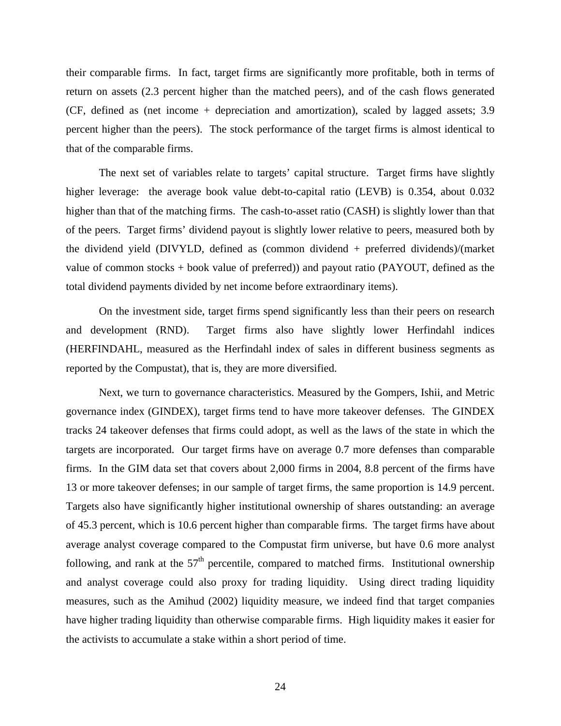their comparable firms. In fact, target firms are significantly more profitable, both in terms of return on assets (2.3 percent higher than the matched peers), and of the cash flows generated (CF, defined as (net income + depreciation and amortization), scaled by lagged assets; 3.9 percent higher than the peers). The stock performance of the target firms is almost identical to that of the comparable firms.

The next set of variables relate to targets' capital structure. Target firms have slightly higher leverage: the average book value debt-to-capital ratio (LEVB) is 0.354, about 0.032 higher than that of the matching firms. The cash-to-asset ratio (CASH) is slightly lower than that of the peers. Target firms' dividend payout is slightly lower relative to peers, measured both by the dividend yield (DIVYLD, defined as (common dividend + preferred dividends)/(market value of common stocks + book value of preferred)) and payout ratio (PAYOUT, defined as the total dividend payments divided by net income before extraordinary items).

On the investment side, target firms spend significantly less than their peers on research and development (RND). Target firms also have slightly lower Herfindahl indices (HERFINDAHL, measured as the Herfindahl index of sales in different business segments as reported by the Compustat), that is, they are more diversified.

Next, we turn to governance characteristics. Measured by the Gompers, Ishii, and Metric governance index (GINDEX), target firms tend to have more takeover defenses. The GINDEX tracks 24 takeover defenses that firms could adopt, as well as the laws of the state in which the targets are incorporated. Our target firms have on average 0.7 more defenses than comparable firms. In the GIM data set that covers about 2,000 firms in 2004, 8.8 percent of the firms have 13 or more takeover defenses; in our sample of target firms, the same proportion is 14.9 percent. Targets also have significantly higher institutional ownership of shares outstanding: an average of 45.3 percent, which is 10.6 percent higher than comparable firms. The target firms have about average analyst coverage compared to the Compustat firm universe, but have 0.6 more analyst following, and rank at the  $57<sup>th</sup>$  percentile, compared to matched firms. Institutional ownership and analyst coverage could also proxy for trading liquidity. Using direct trading liquidity measures, such as the Amihud (2002) liquidity measure, we indeed find that target companies have higher trading liquidity than otherwise comparable firms. High liquidity makes it easier for the activists to accumulate a stake within a short period of time.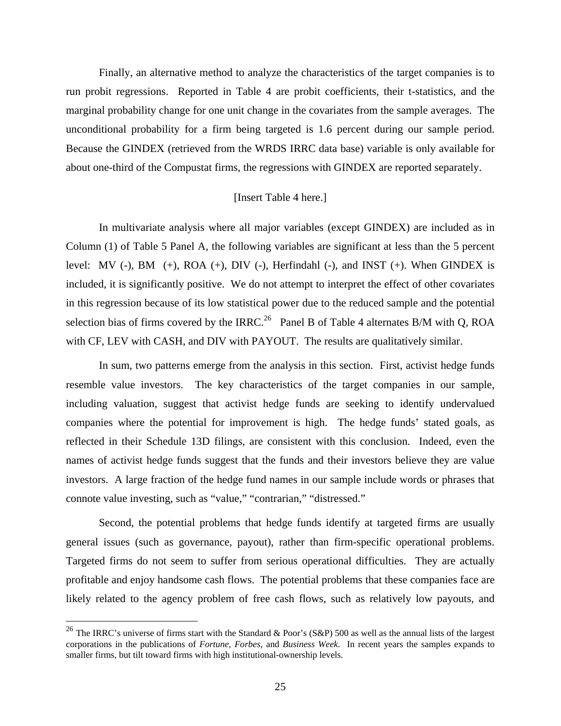Finally, an alternative method to analyze the characteristics of the target companies is to run probit regressions. Reported in Table 4 are probit coefficients, their t-statistics, and the marginal probability change for one unit change in the covariates from the sample averages. The unconditional probability for a firm being targeted is 1.6 percent during our sample period. Because the GINDEX (retrieved from the WRDS IRRC data base) variable is only available for about one-third of the Compustat firms, the regressions with GINDEX are reported separately.

# [Insert Table 4 here.]

In multivariate analysis where all major variables (except GINDEX) are included as in Column (1) of Table 5 Panel A, the following variables are significant at less than the 5 percent level: MV (-), BM (+), ROA (+), DIV (-), Herfindahl (-), and INST (+). When GINDEX is included, it is significantly positive. We do not attempt to interpret the effect of other covariates in this regression because of its low statistical power due to the reduced sample and the potential selection bias of firms covered by the IRRC.<sup>26</sup> Panel B of Table 4 alternates B/M with Q, ROA with CF, LEV with CASH, and DIV with PAYOUT. The results are qualitatively similar.

In sum, two patterns emerge from the analysis in this section. First, activist hedge funds resemble value investors. The key characteristics of the target companies in our sample, including valuation, suggest that activist hedge funds are seeking to identify undervalued companies where the potential for improvement is high. The hedge funds' stated goals, as reflected in their Schedule 13D filings, are consistent with this conclusion. Indeed, even the names of activist hedge funds suggest that the funds and their investors believe they are value investors. A large fraction of the hedge fund names in our sample include words or phrases that connote value investing, such as "value," "contrarian," "distressed."

Second, the potential problems that hedge funds identify at targeted firms are usually general issues (such as governance, payout), rather than firm-specific operational problems. Targeted firms do not seem to suffer from serious operational difficulties. They are actually profitable and enjoy handsome cash flows. The potential problems that these companies face are likely related to the agency problem of free cash flows, such as relatively low payouts, and

 $\overline{a}$ 

<sup>&</sup>lt;sup>26</sup> The IRRC's universe of firms start with the Standard & Poor's (S&P) 500 as well as the annual lists of the largest corporations in the publications of *Fortune*, *Forbes,* and *Business Week*. In recent years the samples expands to smaller firms, but tilt toward firms with high institutional-ownership levels.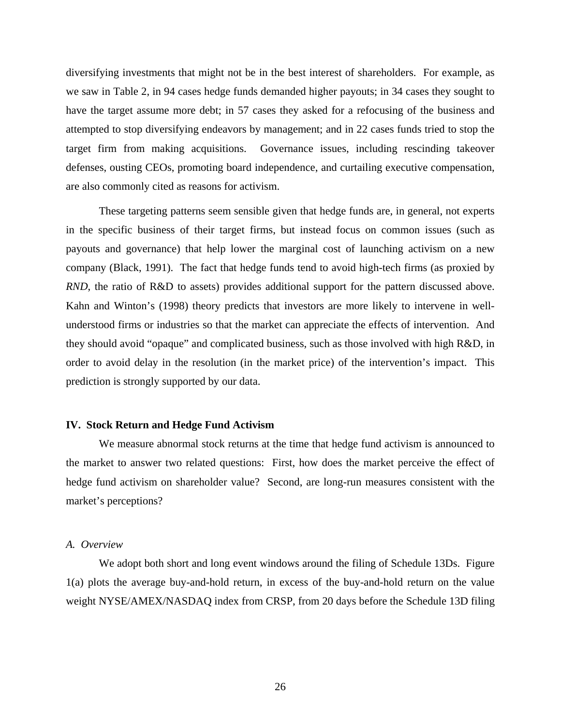diversifying investments that might not be in the best interest of shareholders. For example, as we saw in Table 2, in 94 cases hedge funds demanded higher payouts; in 34 cases they sought to have the target assume more debt; in 57 cases they asked for a refocusing of the business and attempted to stop diversifying endeavors by management; and in 22 cases funds tried to stop the target firm from making acquisitions. Governance issues, including rescinding takeover defenses, ousting CEOs, promoting board independence, and curtailing executive compensation, are also commonly cited as reasons for activism.

These targeting patterns seem sensible given that hedge funds are, in general, not experts in the specific business of their target firms, but instead focus on common issues (such as payouts and governance) that help lower the marginal cost of launching activism on a new company (Black, 1991). The fact that hedge funds tend to avoid high-tech firms (as proxied by *RND*, the ratio of R&D to assets) provides additional support for the pattern discussed above. Kahn and Winton's (1998) theory predicts that investors are more likely to intervene in wellunderstood firms or industries so that the market can appreciate the effects of intervention. And they should avoid "opaque" and complicated business, such as those involved with high R&D, in order to avoid delay in the resolution (in the market price) of the intervention's impact. This prediction is strongly supported by our data.

#### **IV. Stock Return and Hedge Fund Activism**

We measure abnormal stock returns at the time that hedge fund activism is announced to the market to answer two related questions: First, how does the market perceive the effect of hedge fund activism on shareholder value? Second, are long-run measures consistent with the market's perceptions?

## *A. Overview*

We adopt both short and long event windows around the filing of Schedule 13Ds. Figure 1(a) plots the average buy-and-hold return, in excess of the buy-and-hold return on the value weight NYSE/AMEX/NASDAQ index from CRSP, from 20 days before the Schedule 13D filing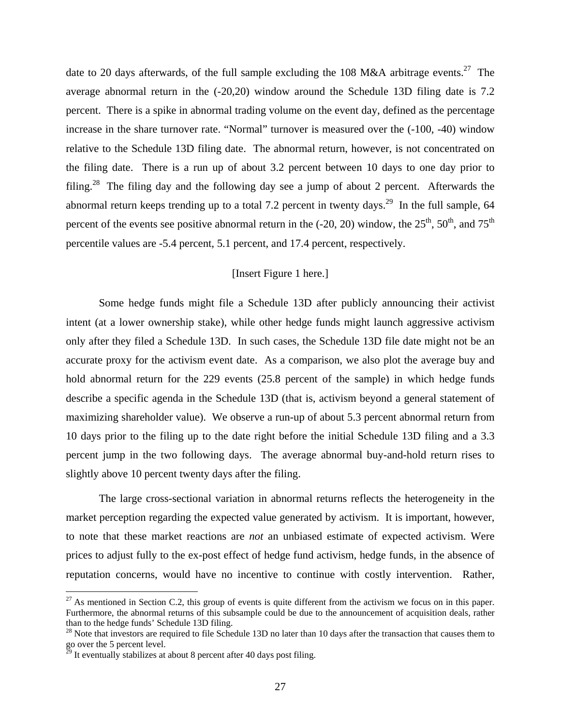date to 20 days afterwards, of the full sample excluding the 108 M&A arbitrage events.<sup>27</sup> The average abnormal return in the (-20,20) window around the Schedule 13D filing date is 7.2 percent. There is a spike in abnormal trading volume on the event day, defined as the percentage increase in the share turnover rate. "Normal" turnover is measured over the (-100, -40) window relative to the Schedule 13D filing date. The abnormal return, however, is not concentrated on the filing date. There is a run up of about 3.2 percent between 10 days to one day prior to filing.<sup>28</sup> The filing day and the following day see a jump of about 2 percent. Afterwards the abnormal return keeps trending up to a total 7.2 percent in twenty days.<sup>29</sup> In the full sample, 64 percent of the events see positive abnormal return in the  $(-20, 20)$  window, the  $25<sup>th</sup>$ ,  $50<sup>th</sup>$ , and  $75<sup>th</sup>$ percentile values are -5.4 percent, 5.1 percent, and 17.4 percent, respectively.

# [Insert Figure 1 here.]

Some hedge funds might file a Schedule 13D after publicly announcing their activist intent (at a lower ownership stake), while other hedge funds might launch aggressive activism only after they filed a Schedule 13D. In such cases, the Schedule 13D file date might not be an accurate proxy for the activism event date. As a comparison, we also plot the average buy and hold abnormal return for the 229 events (25.8 percent of the sample) in which hedge funds describe a specific agenda in the Schedule 13D (that is, activism beyond a general statement of maximizing shareholder value). We observe a run-up of about 5.3 percent abnormal return from 10 days prior to the filing up to the date right before the initial Schedule 13D filing and a 3.3 percent jump in the two following days. The average abnormal buy-and-hold return rises to slightly above 10 percent twenty days after the filing.

The large cross-sectional variation in abnormal returns reflects the heterogeneity in the market perception regarding the expected value generated by activism. It is important, however, to note that these market reactions are *not* an unbiased estimate of expected activism. Were prices to adjust fully to the ex-post effect of hedge fund activism, hedge funds, in the absence of reputation concerns, would have no incentive to continue with costly intervention. Rather,

1

 $^{27}$  As mentioned in Section C.2, this group of events is quite different from the activism we focus on in this paper. Furthermore, the abnormal returns of this subsample could be due to the announcement of acquisition deals, rather than to the hedge funds' Schedule 13D filing.

 $^{28}$  Note that investors are required to file Schedule 13D no later than 10 days after the transaction that causes them to go over the 5 percent level.

 $\mathbb{Z}^9$  It eventually stabilizes at about 8 percent after 40 days post filing.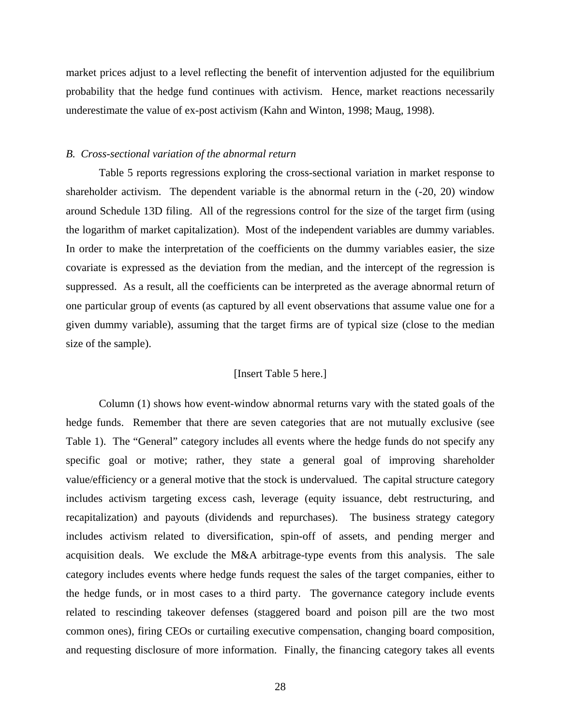market prices adjust to a level reflecting the benefit of intervention adjusted for the equilibrium probability that the hedge fund continues with activism. Hence, market reactions necessarily underestimate the value of ex-post activism (Kahn and Winton, 1998; Maug, 1998).

#### *B. Cross-sectional variation of the abnormal return*

Table 5 reports regressions exploring the cross-sectional variation in market response to shareholder activism. The dependent variable is the abnormal return in the (-20, 20) window around Schedule 13D filing. All of the regressions control for the size of the target firm (using the logarithm of market capitalization). Most of the independent variables are dummy variables. In order to make the interpretation of the coefficients on the dummy variables easier, the size covariate is expressed as the deviation from the median, and the intercept of the regression is suppressed. As a result, all the coefficients can be interpreted as the average abnormal return of one particular group of events (as captured by all event observations that assume value one for a given dummy variable), assuming that the target firms are of typical size (close to the median size of the sample).

# [Insert Table 5 here.]

Column (1) shows how event-window abnormal returns vary with the stated goals of the hedge funds. Remember that there are seven categories that are not mutually exclusive (see Table 1). The "General" category includes all events where the hedge funds do not specify any specific goal or motive; rather, they state a general goal of improving shareholder value/efficiency or a general motive that the stock is undervalued. The capital structure category includes activism targeting excess cash, leverage (equity issuance, debt restructuring, and recapitalization) and payouts (dividends and repurchases). The business strategy category includes activism related to diversification, spin-off of assets, and pending merger and acquisition deals. We exclude the M&A arbitrage-type events from this analysis. The sale category includes events where hedge funds request the sales of the target companies, either to the hedge funds, or in most cases to a third party. The governance category include events related to rescinding takeover defenses (staggered board and poison pill are the two most common ones), firing CEOs or curtailing executive compensation, changing board composition, and requesting disclosure of more information. Finally, the financing category takes all events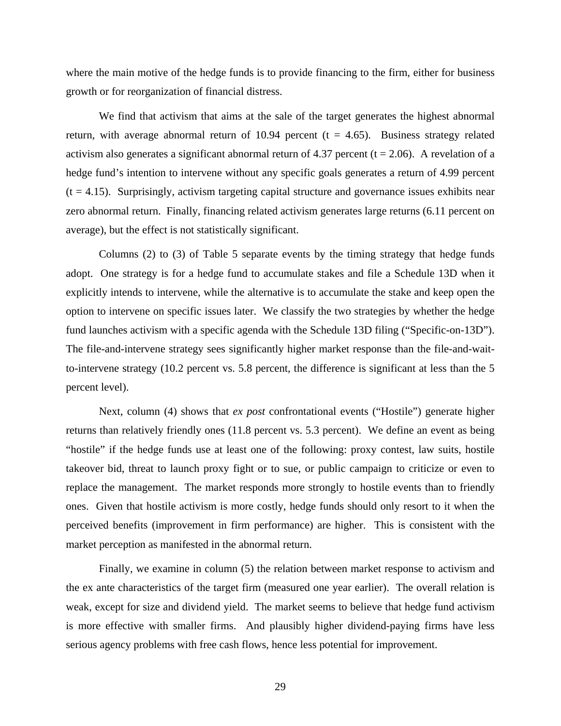where the main motive of the hedge funds is to provide financing to the firm, either for business growth or for reorganization of financial distress.

We find that activism that aims at the sale of the target generates the highest abnormal return, with average abnormal return of 10.94 percent ( $t = 4.65$ ). Business strategy related activism also generates a significant abnormal return of 4.37 percent ( $t = 2.06$ ). A revelation of a hedge fund's intention to intervene without any specific goals generates a return of 4.99 percent  $(t = 4.15)$ . Surprisingly, activism targeting capital structure and governance issues exhibits near zero abnormal return. Finally, financing related activism generates large returns (6.11 percent on average), but the effect is not statistically significant.

Columns (2) to (3) of Table 5 separate events by the timing strategy that hedge funds adopt. One strategy is for a hedge fund to accumulate stakes and file a Schedule 13D when it explicitly intends to intervene, while the alternative is to accumulate the stake and keep open the option to intervene on specific issues later. We classify the two strategies by whether the hedge fund launches activism with a specific agenda with the Schedule 13D filing ("Specific-on-13D"). The file-and-intervene strategy sees significantly higher market response than the file-and-waitto-intervene strategy (10.2 percent vs. 5.8 percent, the difference is significant at less than the 5 percent level).

Next, column (4) shows that *ex post* confrontational events ("Hostile") generate higher returns than relatively friendly ones (11.8 percent vs. 5.3 percent). We define an event as being "hostile" if the hedge funds use at least one of the following: proxy contest, law suits, hostile takeover bid, threat to launch proxy fight or to sue, or public campaign to criticize or even to replace the management. The market responds more strongly to hostile events than to friendly ones. Given that hostile activism is more costly, hedge funds should only resort to it when the perceived benefits (improvement in firm performance) are higher. This is consistent with the market perception as manifested in the abnormal return.

Finally, we examine in column (5) the relation between market response to activism and the ex ante characteristics of the target firm (measured one year earlier). The overall relation is weak, except for size and dividend yield. The market seems to believe that hedge fund activism is more effective with smaller firms. And plausibly higher dividend-paying firms have less serious agency problems with free cash flows, hence less potential for improvement.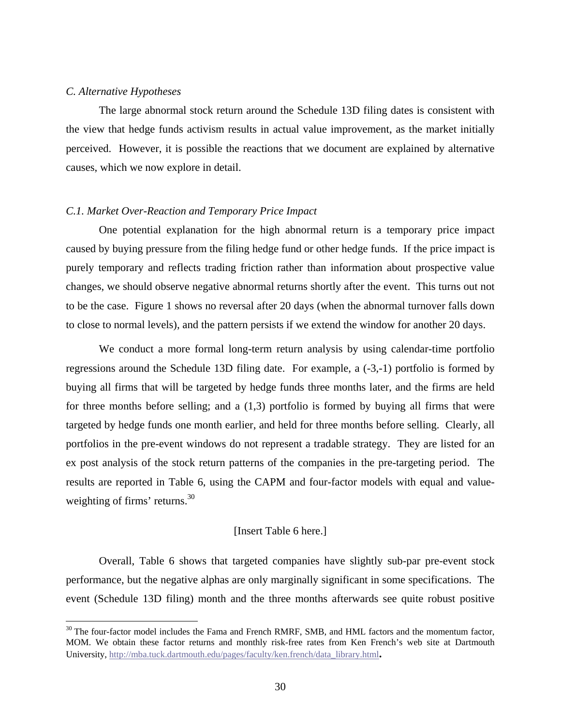#### *C. Alternative Hypotheses*

 $\overline{a}$ 

The large abnormal stock return around the Schedule 13D filing dates is consistent with the view that hedge funds activism results in actual value improvement, as the market initially perceived. However, it is possible the reactions that we document are explained by alternative causes, which we now explore in detail.

# *C.1. Market Over-Reaction and Temporary Price Impact*

 One potential explanation for the high abnormal return is a temporary price impact caused by buying pressure from the filing hedge fund or other hedge funds. If the price impact is purely temporary and reflects trading friction rather than information about prospective value changes, we should observe negative abnormal returns shortly after the event. This turns out not to be the case. Figure 1 shows no reversal after 20 days (when the abnormal turnover falls down to close to normal levels), and the pattern persists if we extend the window for another 20 days.

We conduct a more formal long-term return analysis by using calendar-time portfolio regressions around the Schedule 13D filing date. For example, a (-3,-1) portfolio is formed by buying all firms that will be targeted by hedge funds three months later, and the firms are held for three months before selling; and a (1,3) portfolio is formed by buying all firms that were targeted by hedge funds one month earlier, and held for three months before selling. Clearly, all portfolios in the pre-event windows do not represent a tradable strategy. They are listed for an ex post analysis of the stock return patterns of the companies in the pre-targeting period. The results are reported in Table 6, using the CAPM and four-factor models with equal and valueweighting of firms' returns.<sup>30</sup>

#### [Insert Table 6 here.]

 Overall, Table 6 shows that targeted companies have slightly sub-par pre-event stock performance, but the negative alphas are only marginally significant in some specifications. The event (Schedule 13D filing) month and the three months afterwards see quite robust positive

<sup>&</sup>lt;sup>30</sup> The four-factor model includes the Fama and French RMRF, SMB, and HML factors and the momentum factor, MOM. We obtain these factor returns and monthly risk-free rates from Ken French's web site at Dartmouth University, http://mba.tuck.dartmouth.edu/pages/faculty/ken.french/data\_library.html**.**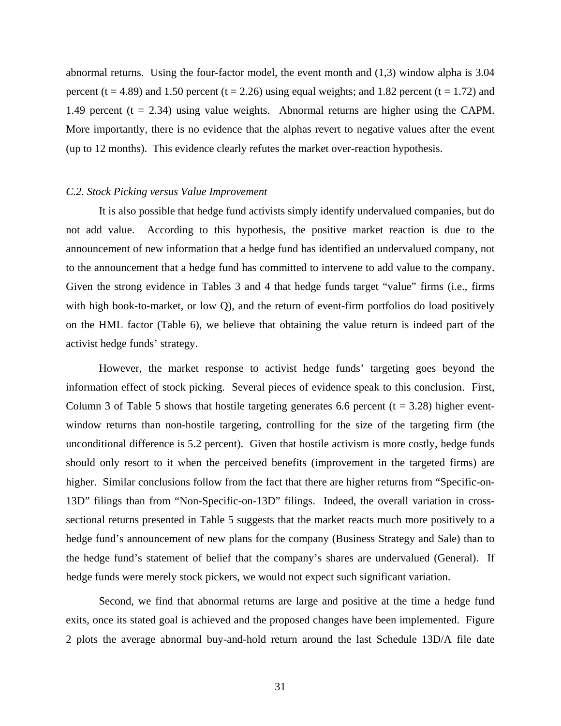abnormal returns. Using the four-factor model, the event month and (1,3) window alpha is 3.04 percent (t = 4.89) and 1.50 percent (t = 2.26) using equal weights; and 1.82 percent (t = 1.72) and 1.49 percent  $(t = 2.34)$  using value weights. Abnormal returns are higher using the CAPM. More importantly, there is no evidence that the alphas revert to negative values after the event (up to 12 months). This evidence clearly refutes the market over-reaction hypothesis.

## *C.2. Stock Picking versus Value Improvement*

 It is also possible that hedge fund activists simply identify undervalued companies, but do not add value. According to this hypothesis, the positive market reaction is due to the announcement of new information that a hedge fund has identified an undervalued company, not to the announcement that a hedge fund has committed to intervene to add value to the company. Given the strong evidence in Tables 3 and 4 that hedge funds target "value" firms (i.e., firms with high book-to-market, or low Q), and the return of event-firm portfolios do load positively on the HML factor (Table 6), we believe that obtaining the value return is indeed part of the activist hedge funds' strategy.

However, the market response to activist hedge funds' targeting goes beyond the information effect of stock picking. Several pieces of evidence speak to this conclusion. First, Column 3 of Table 5 shows that hostile targeting generates 6.6 percent ( $t = 3.28$ ) higher eventwindow returns than non-hostile targeting, controlling for the size of the targeting firm (the unconditional difference is 5.2 percent). Given that hostile activism is more costly, hedge funds should only resort to it when the perceived benefits (improvement in the targeted firms) are higher. Similar conclusions follow from the fact that there are higher returns from "Specific-on-13D" filings than from "Non-Specific-on-13D" filings. Indeed, the overall variation in crosssectional returns presented in Table 5 suggests that the market reacts much more positively to a hedge fund's announcement of new plans for the company (Business Strategy and Sale) than to the hedge fund's statement of belief that the company's shares are undervalued (General). If hedge funds were merely stock pickers, we would not expect such significant variation.

Second, we find that abnormal returns are large and positive at the time a hedge fund exits, once its stated goal is achieved and the proposed changes have been implemented. Figure 2 plots the average abnormal buy-and-hold return around the last Schedule 13D/A file date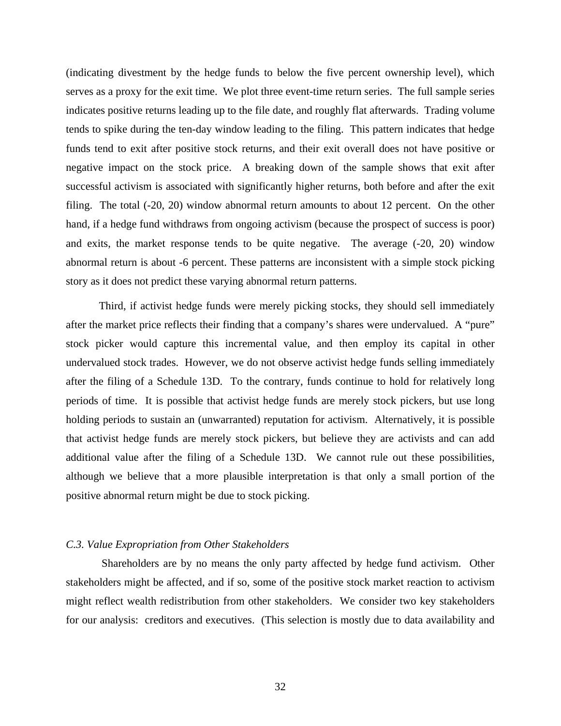(indicating divestment by the hedge funds to below the five percent ownership level), which serves as a proxy for the exit time. We plot three event-time return series. The full sample series indicates positive returns leading up to the file date, and roughly flat afterwards. Trading volume tends to spike during the ten-day window leading to the filing. This pattern indicates that hedge funds tend to exit after positive stock returns, and their exit overall does not have positive or negative impact on the stock price. A breaking down of the sample shows that exit after successful activism is associated with significantly higher returns, both before and after the exit filing. The total (-20, 20) window abnormal return amounts to about 12 percent. On the other hand, if a hedge fund withdraws from ongoing activism (because the prospect of success is poor) and exits, the market response tends to be quite negative. The average (-20, 20) window abnormal return is about -6 percent. These patterns are inconsistent with a simple stock picking story as it does not predict these varying abnormal return patterns.

Third, if activist hedge funds were merely picking stocks, they should sell immediately after the market price reflects their finding that a company's shares were undervalued. A "pure" stock picker would capture this incremental value, and then employ its capital in other undervalued stock trades. However, we do not observe activist hedge funds selling immediately after the filing of a Schedule 13D. To the contrary, funds continue to hold for relatively long periods of time. It is possible that activist hedge funds are merely stock pickers, but use long holding periods to sustain an (unwarranted) reputation for activism. Alternatively, it is possible that activist hedge funds are merely stock pickers, but believe they are activists and can add additional value after the filing of a Schedule 13D. We cannot rule out these possibilities, although we believe that a more plausible interpretation is that only a small portion of the positive abnormal return might be due to stock picking.

# *C.3. Value Expropriation from Other Stakeholders*

 Shareholders are by no means the only party affected by hedge fund activism. Other stakeholders might be affected, and if so, some of the positive stock market reaction to activism might reflect wealth redistribution from other stakeholders. We consider two key stakeholders for our analysis: creditors and executives. (This selection is mostly due to data availability and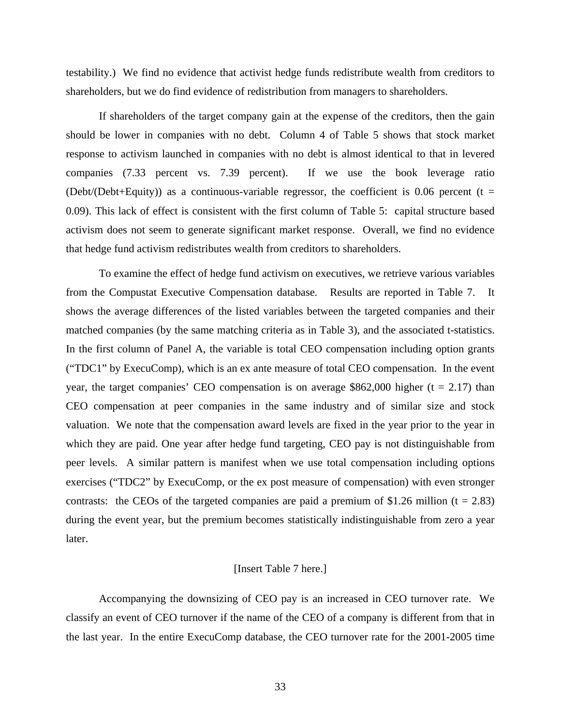testability.) We find no evidence that activist hedge funds redistribute wealth from creditors to shareholders, but we do find evidence of redistribution from managers to shareholders.

If shareholders of the target company gain at the expense of the creditors, then the gain should be lower in companies with no debt. Column 4 of Table 5 shows that stock market response to activism launched in companies with no debt is almost identical to that in levered companies (7.33 percent vs. 7.39 percent). If we use the book leverage ratio (Debt/(Debt+Equity)) as a continuous-variable regressor, the coefficient is 0.06 percent (t = 0.09). This lack of effect is consistent with the first column of Table 5: capital structure based activism does not seem to generate significant market response. Overall, we find no evidence that hedge fund activism redistributes wealth from creditors to shareholders.

To examine the effect of hedge fund activism on executives, we retrieve various variables from the Compustat Executive Compensation database. Results are reported in Table 7. It shows the average differences of the listed variables between the targeted companies and their matched companies (by the same matching criteria as in Table 3), and the associated t-statistics. In the first column of Panel A, the variable is total CEO compensation including option grants ("TDC1" by ExecuComp), which is an ex ante measure of total CEO compensation. In the event year, the target companies' CEO compensation is on average \$862,000 higher ( $t = 2.17$ ) than CEO compensation at peer companies in the same industry and of similar size and stock valuation. We note that the compensation award levels are fixed in the year prior to the year in which they are paid. One year after hedge fund targeting, CEO pay is not distinguishable from peer levels. A similar pattern is manifest when we use total compensation including options exercises ("TDC2" by ExecuComp, or the ex post measure of compensation) with even stronger contrasts: the CEOs of the targeted companies are paid a premium of \$1.26 million ( $t = 2.83$ ) during the event year, but the premium becomes statistically indistinguishable from zero a year later.

# [Insert Table 7 here.]

Accompanying the downsizing of CEO pay is an increased in CEO turnover rate. We classify an event of CEO turnover if the name of the CEO of a company is different from that in the last year. In the entire ExecuComp database, the CEO turnover rate for the 2001-2005 time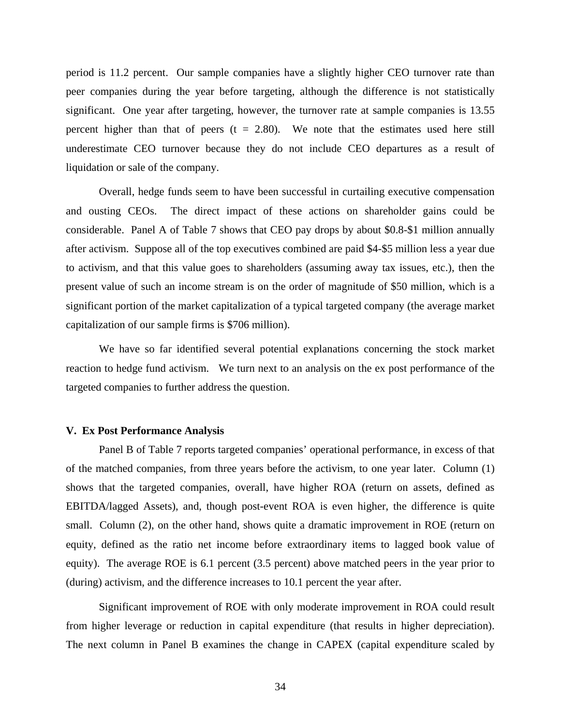period is 11.2 percent. Our sample companies have a slightly higher CEO turnover rate than peer companies during the year before targeting, although the difference is not statistically significant. One year after targeting, however, the turnover rate at sample companies is 13.55 percent higher than that of peers  $(t = 2.80)$ . We note that the estimates used here still underestimate CEO turnover because they do not include CEO departures as a result of liquidation or sale of the company.

Overall, hedge funds seem to have been successful in curtailing executive compensation and ousting CEOs. The direct impact of these actions on shareholder gains could be considerable. Panel A of Table 7 shows that CEO pay drops by about \$0.8-\$1 million annually after activism. Suppose all of the top executives combined are paid \$4-\$5 million less a year due to activism, and that this value goes to shareholders (assuming away tax issues, etc.), then the present value of such an income stream is on the order of magnitude of \$50 million, which is a significant portion of the market capitalization of a typical targeted company (the average market capitalization of our sample firms is \$706 million).

We have so far identified several potential explanations concerning the stock market reaction to hedge fund activism. We turn next to an analysis on the ex post performance of the targeted companies to further address the question.

#### **V. Ex Post Performance Analysis**

 Panel B of Table 7 reports targeted companies' operational performance, in excess of that of the matched companies, from three years before the activism, to one year later. Column (1) shows that the targeted companies, overall, have higher ROA (return on assets, defined as EBITDA/lagged Assets), and, though post-event ROA is even higher, the difference is quite small. Column (2), on the other hand, shows quite a dramatic improvement in ROE (return on equity, defined as the ratio net income before extraordinary items to lagged book value of equity). The average ROE is 6.1 percent (3.5 percent) above matched peers in the year prior to (during) activism, and the difference increases to 10.1 percent the year after.

 Significant improvement of ROE with only moderate improvement in ROA could result from higher leverage or reduction in capital expenditure (that results in higher depreciation). The next column in Panel B examines the change in CAPEX (capital expenditure scaled by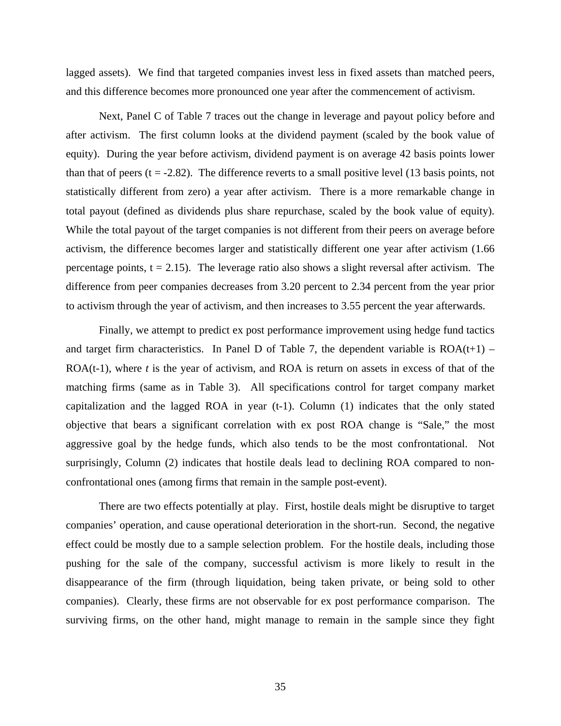lagged assets). We find that targeted companies invest less in fixed assets than matched peers, and this difference becomes more pronounced one year after the commencement of activism.

Next, Panel C of Table 7 traces out the change in leverage and payout policy before and after activism. The first column looks at the dividend payment (scaled by the book value of equity). During the year before activism, dividend payment is on average 42 basis points lower than that of peers  $(t = -2.82)$ . The difference reverts to a small positive level (13 basis points, not statistically different from zero) a year after activism. There is a more remarkable change in total payout (defined as dividends plus share repurchase, scaled by the book value of equity). While the total payout of the target companies is not different from their peers on average before activism, the difference becomes larger and statistically different one year after activism (1.66 percentage points,  $t = 2.15$ ). The leverage ratio also shows a slight reversal after activism. The difference from peer companies decreases from 3.20 percent to 2.34 percent from the year prior to activism through the year of activism, and then increases to 3.55 percent the year afterwards.

Finally, we attempt to predict ex post performance improvement using hedge fund tactics and target firm characteristics. In Panel D of Table 7, the dependent variable is  $ROA(t+1)$  – ROA(t-1), where *t* is the year of activism, and ROA is return on assets in excess of that of the matching firms (same as in Table 3). All specifications control for target company market capitalization and the lagged ROA in year  $(t-1)$ . Column  $(1)$  indicates that the only stated objective that bears a significant correlation with ex post ROA change is "Sale," the most aggressive goal by the hedge funds, which also tends to be the most confrontational. Not surprisingly, Column (2) indicates that hostile deals lead to declining ROA compared to nonconfrontational ones (among firms that remain in the sample post-event).

There are two effects potentially at play. First, hostile deals might be disruptive to target companies' operation, and cause operational deterioration in the short-run. Second, the negative effect could be mostly due to a sample selection problem. For the hostile deals, including those pushing for the sale of the company, successful activism is more likely to result in the disappearance of the firm (through liquidation, being taken private, or being sold to other companies). Clearly, these firms are not observable for ex post performance comparison. The surviving firms, on the other hand, might manage to remain in the sample since they fight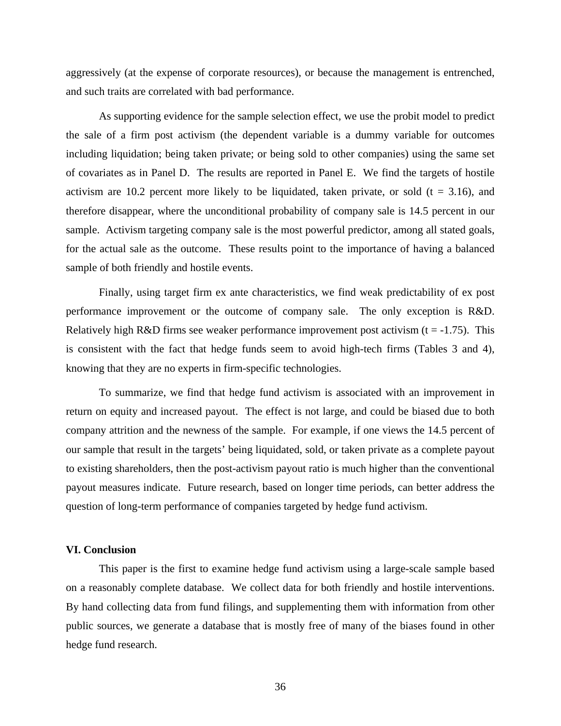aggressively (at the expense of corporate resources), or because the management is entrenched, and such traits are correlated with bad performance.

As supporting evidence for the sample selection effect, we use the probit model to predict the sale of a firm post activism (the dependent variable is a dummy variable for outcomes including liquidation; being taken private; or being sold to other companies) using the same set of covariates as in Panel D. The results are reported in Panel E. We find the targets of hostile activism are 10.2 percent more likely to be liquidated, taken private, or sold ( $t = 3.16$ ), and therefore disappear, where the unconditional probability of company sale is 14.5 percent in our sample. Activism targeting company sale is the most powerful predictor, among all stated goals, for the actual sale as the outcome. These results point to the importance of having a balanced sample of both friendly and hostile events.

Finally, using target firm ex ante characteristics, we find weak predictability of ex post performance improvement or the outcome of company sale. The only exception is R&D. Relatively high R&D firms see weaker performance improvement post activism  $(t = -1.75)$ . This is consistent with the fact that hedge funds seem to avoid high-tech firms (Tables 3 and 4), knowing that they are no experts in firm-specific technologies.

To summarize, we find that hedge fund activism is associated with an improvement in return on equity and increased payout. The effect is not large, and could be biased due to both company attrition and the newness of the sample. For example, if one views the 14.5 percent of our sample that result in the targets' being liquidated, sold, or taken private as a complete payout to existing shareholders, then the post-activism payout ratio is much higher than the conventional payout measures indicate. Future research, based on longer time periods, can better address the question of long-term performance of companies targeted by hedge fund activism.

#### **VI. Conclusion**

 This paper is the first to examine hedge fund activism using a large-scale sample based on a reasonably complete database. We collect data for both friendly and hostile interventions. By hand collecting data from fund filings, and supplementing them with information from other public sources, we generate a database that is mostly free of many of the biases found in other hedge fund research.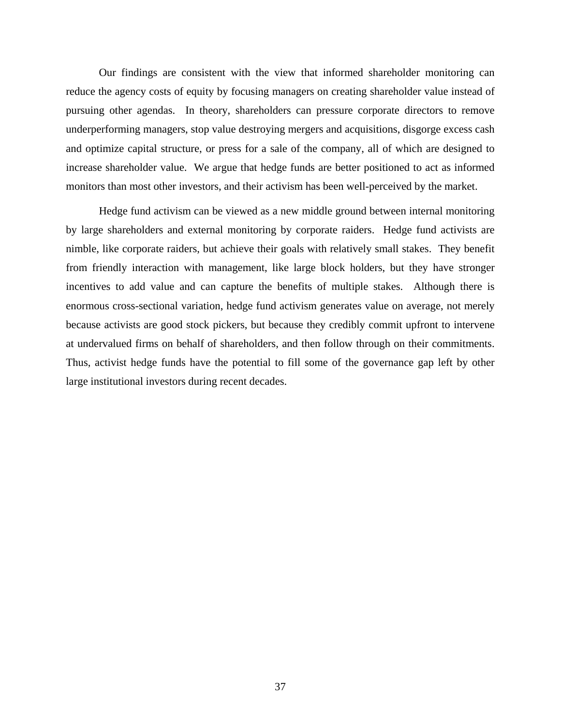Our findings are consistent with the view that informed shareholder monitoring can reduce the agency costs of equity by focusing managers on creating shareholder value instead of pursuing other agendas. In theory, shareholders can pressure corporate directors to remove underperforming managers, stop value destroying mergers and acquisitions, disgorge excess cash and optimize capital structure, or press for a sale of the company, all of which are designed to increase shareholder value. We argue that hedge funds are better positioned to act as informed monitors than most other investors, and their activism has been well-perceived by the market.

Hedge fund activism can be viewed as a new middle ground between internal monitoring by large shareholders and external monitoring by corporate raiders. Hedge fund activists are nimble, like corporate raiders, but achieve their goals with relatively small stakes. They benefit from friendly interaction with management, like large block holders, but they have stronger incentives to add value and can capture the benefits of multiple stakes. Although there is enormous cross-sectional variation, hedge fund activism generates value on average, not merely because activists are good stock pickers, but because they credibly commit upfront to intervene at undervalued firms on behalf of shareholders, and then follow through on their commitments. Thus, activist hedge funds have the potential to fill some of the governance gap left by other large institutional investors during recent decades.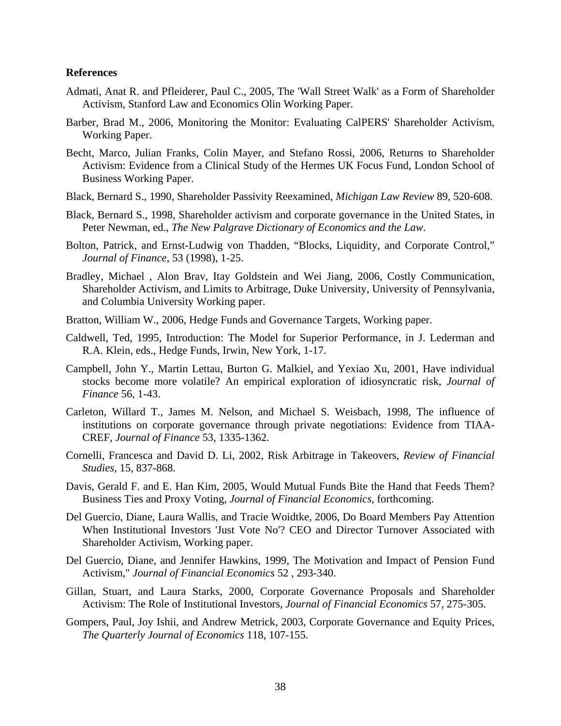## **References**

- Admati, Anat R. and Pfleiderer, Paul C., 2005, The 'Wall Street Walk' as a Form of Shareholder Activism, Stanford Law and Economics Olin Working Paper.
- Barber, Brad M., 2006, Monitoring the Monitor: Evaluating CalPERS' Shareholder Activism, Working Paper.
- Becht, Marco, Julian Franks, Colin Mayer, and Stefano Rossi, 2006, Returns to Shareholder Activism: Evidence from a Clinical Study of the Hermes UK Focus Fund, London School of Business Working Paper.
- Black, Bernard S., 1990, Shareholder Passivity Reexamined, *Michigan Law Review* 89, 520-608.
- Black, Bernard S., 1998, Shareholder activism and corporate governance in the United States, in Peter Newman, ed., *The New Palgrave Dictionary of Economics and the Law*.
- Bolton, Patrick, and Ernst-Ludwig von Thadden, "Blocks, Liquidity, and Corporate Control," *Journal of Finance*, 53 (1998), 1-25.
- Bradley, Michael , Alon Brav, Itay Goldstein and Wei Jiang, 2006, Costly Communication, Shareholder Activism, and Limits to Arbitrage, Duke University, University of Pennsylvania, and Columbia University Working paper.
- Bratton, William W., 2006, Hedge Funds and Governance Targets, Working paper.
- Caldwell, Ted, 1995, Introduction: The Model for Superior Performance, in J. Lederman and R.A. Klein, eds., Hedge Funds, Irwin, New York, 1-17.
- Campbell, John Y., Martin Lettau, Burton G. Malkiel, and Yexiao Xu, 2001, Have individual stocks become more volatile? An empirical exploration of idiosyncratic risk, *Journal of Finance* 56, 1-43.
- Carleton, Willard T., James M. Nelson, and Michael S. Weisbach, 1998, The influence of institutions on corporate governance through private negotiations: Evidence from TIAA-CREF, *Journal of Finance* 53, 1335-1362.
- Cornelli, Francesca and David D. Li, 2002, Risk Arbitrage in Takeovers, *Review of Financial Studies*, 15, 837-868.
- Davis, Gerald F. and E. Han Kim, 2005, Would Mutual Funds Bite the Hand that Feeds Them? Business Ties and Proxy Voting, *Journal of Financial Economics*, forthcoming.
- Del Guercio, Diane, Laura Wallis, and Tracie Woidtke, 2006, Do Board Members Pay Attention When Institutional Investors 'Just Vote No'? CEO and Director Turnover Associated with Shareholder Activism, Working paper.
- Del Guercio, Diane, and Jennifer Hawkins, 1999, The Motivation and Impact of Pension Fund Activism," *Journal of Financial Economics* 52 , 293-340.
- Gillan, Stuart, and Laura Starks, 2000, Corporate Governance Proposals and Shareholder Activism: The Role of Institutional Investors, *Journal of Financial Economics* 57*,* 275-305.
- Gompers, Paul, Joy Ishii, and Andrew Metrick, 2003, Corporate Governance and Equity Prices, *The Quarterly Journal of Economics* 118, 107-155.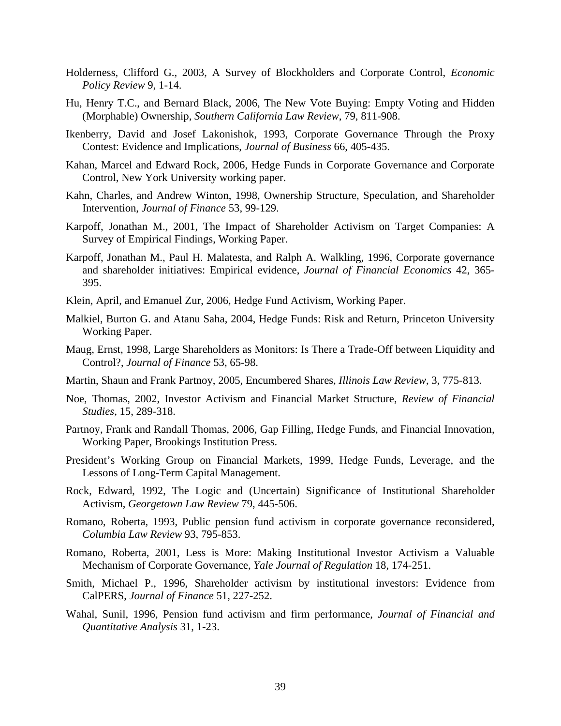- Holderness, Clifford G., 2003, A Survey of Blockholders and Corporate Control, *Economic Policy Review* 9, 1-14.
- Hu, Henry T.C., and Bernard Black, 2006, The New Vote Buying: Empty Voting and Hidden (Morphable) Ownership, *Southern California Law Review*, 79, 811-908.
- Ikenberry, David and Josef Lakonishok, 1993, Corporate Governance Through the Proxy Contest: Evidence and Implications, *Journal of Business* 66, 405-435.
- Kahan, Marcel and Edward Rock, 2006, Hedge Funds in Corporate Governance and Corporate Control, New York University working paper.
- Kahn, Charles, and Andrew Winton, 1998, Ownership Structure, Speculation, and Shareholder Intervention, *Journal of Finance* 53, 99-129.
- Karpoff, Jonathan M., 2001, The Impact of Shareholder Activism on Target Companies: A Survey of Empirical Findings, Working Paper.
- Karpoff, Jonathan M., Paul H. Malatesta, and Ralph A. Walkling, 1996, Corporate governance and shareholder initiatives: Empirical evidence, *Journal of Financial Economics* 42, 365- 395.
- Klein, April, and Emanuel Zur, 2006, Hedge Fund Activism, Working Paper.
- Malkiel, Burton G. and Atanu Saha, 2004, Hedge Funds: Risk and Return, Princeton University Working Paper.
- Maug, Ernst, 1998, Large Shareholders as Monitors: Is There a Trade-Off between Liquidity and Control?, *Journal of Finance* 53, 65-98.
- Martin, Shaun and Frank Partnoy, 2005, Encumbered Shares, *Illinois Law Review*, 3, 775-813.
- Noe, Thomas, 2002, Investor Activism and Financial Market Structure, *Review of Financial Studies*, 15, 289-318.
- Partnoy, Frank and Randall Thomas, 2006, Gap Filling, Hedge Funds, and Financial Innovation, Working Paper, Brookings Institution Press.
- President's Working Group on Financial Markets, 1999, Hedge Funds, Leverage, and the Lessons of Long-Term Capital Management.
- Rock, Edward, 1992, The Logic and (Uncertain) Significance of Institutional Shareholder Activism, *Georgetown Law Review* 79, 445-506.
- Romano, Roberta, 1993, Public pension fund activism in corporate governance reconsidered, *Columbia Law Review* 93, 795-853.
- Romano, Roberta, 2001, Less is More: Making Institutional Investor Activism a Valuable Mechanism of Corporate Governance, *Yale Journal of Regulation* 18, 174-251.
- Smith, Michael P., 1996, Shareholder activism by institutional investors: Evidence from CalPERS, *Journal of Finance* 51, 227-252.
- Wahal, Sunil, 1996, Pension fund activism and firm performance, *Journal of Financial and Quantitative Analysis* 31, 1-23.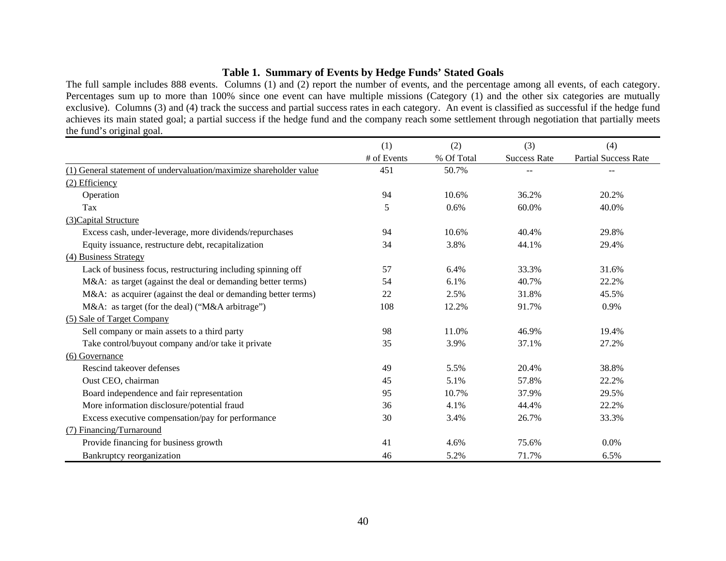# **Table 1. Summary of Events by Hedge Funds' Stated Goals**

The full sample includes 888 events. Columns (1) and (2) report the number of events, and the percentage among all events, of each category. Percentages sum up to more than 100% since one event can have multiple missions (Category (1) and the other six categories are mutually exclusive). Columns (3) and (4) track the success and partial success rates in each category. An event is classified as successful if the hedge fund achieves its main stated goal; a partial success if the hedge fund and the company reach some settlement through negotiation that partially meets the fund's original goal.

|                                                                    | (1)         | (2)        | (3)                 | (4)                         |
|--------------------------------------------------------------------|-------------|------------|---------------------|-----------------------------|
|                                                                    | # of Events | % Of Total | <b>Success Rate</b> | <b>Partial Success Rate</b> |
| (1) General statement of undervaluation/maximize shareholder value | 451         | 50.7%      |                     |                             |
| (2) Efficiency                                                     |             |            |                     |                             |
| Operation                                                          | 94          | 10.6%      | 36.2%               | 20.2%                       |
| Tax                                                                | 5           | 0.6%       | 60.0%               | 40.0%                       |
| (3) Capital Structure                                              |             |            |                     |                             |
| Excess cash, under-leverage, more dividends/repurchases            | 94          | 10.6%      | 40.4%               | 29.8%                       |
| Equity issuance, restructure debt, recapitalization                | 34          | 3.8%       | 44.1%               | 29.4%                       |
| (4) Business Strategy                                              |             |            |                     |                             |
| Lack of business focus, restructuring including spinning off       | 57          | 6.4%       | 33.3%               | 31.6%                       |
| M&A: as target (against the deal or demanding better terms)        | 54          | 6.1%       | 40.7%               | 22.2%                       |
| M&A: as acquirer (against the deal or demanding better terms)      | 22          | 2.5%       | 31.8%               | 45.5%                       |
| M&A: as target (for the deal) ("M&A arbitrage")                    | 108         | 12.2%      | 91.7%               | 0.9%                        |
| (5) Sale of Target Company                                         |             |            |                     |                             |
| Sell company or main assets to a third party                       | 98          | 11.0%      | 46.9%               | 19.4%                       |
| Take control/buyout company and/or take it private                 | 35          | 3.9%       | 37.1%               | 27.2%                       |
| (6) Governance                                                     |             |            |                     |                             |
| Rescind takeover defenses                                          | 49          | 5.5%       | 20.4%               | 38.8%                       |
| Oust CEO, chairman                                                 | 45          | 5.1%       | 57.8%               | 22.2%                       |
| Board independence and fair representation                         | 95          | 10.7%      | 37.9%               | 29.5%                       |
| More information disclosure/potential fraud                        | 36          | 4.1%       | 44.4%               | 22.2%                       |
| Excess executive compensation/pay for performance                  | 30          | 3.4%       | 26.7%               | 33.3%                       |
| (7) Financing/Turnaround                                           |             |            |                     |                             |
| Provide financing for business growth                              | 41          | 4.6%       | 75.6%               | 0.0%                        |
| Bankruptcy reorganization                                          | 46          | 5.2%       | 71.7%               | 6.5%                        |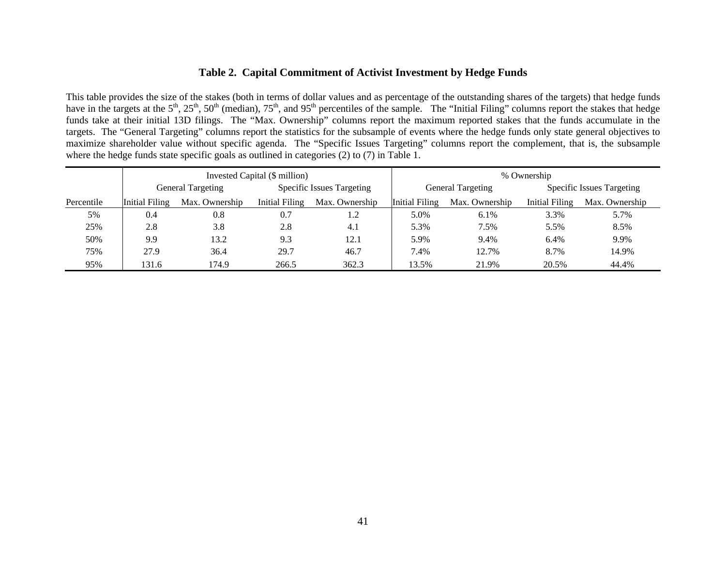# **Table 2. Capital Commitment of Activist Investment by Hedge Funds**

This table provides the size of the stakes (both in terms of dollar values and as percentage of the outstanding shares of the targets) that hedge funds have in the targets at the  $5<sup>th</sup>$ ,  $25<sup>th</sup>$ ,  $50<sup>th</sup>$  (median),  $75<sup>th</sup>$ , and  $95<sup>th</sup>$  percentiles of the sample. The "Initial Filing" columns report the stakes that hedge funds take at their initial 13D filings. The "Max. Ownership" columns report the maximum reported stakes that the funds accumulate in the targets. The "General Targeting" columns report the statistics for the subsample of events where the hedge funds only state general objectives to maximize shareholder value without specific agenda. The "Specific Issues Targeting" columns report the complement, that is, the subsample where the hedge funds state specific goals as outlined in categories (2) to (7) in Table 1.

|            |                |                   | Invested Capital (\$ million) |                                  | % Ownership    |                          |                |                                  |  |
|------------|----------------|-------------------|-------------------------------|----------------------------------|----------------|--------------------------|----------------|----------------------------------|--|
|            |                | General Targeting |                               | <b>Specific Issues Targeting</b> |                | <b>General Targeting</b> |                | <b>Specific Issues Targeting</b> |  |
| Percentile | Initial Filing | Max. Ownership    | Initial Filing                | Max. Ownership                   | Initial Filing | Max. Ownership           | Initial Filing | Max. Ownership                   |  |
| 5%         | 0.4            | 0.8               | 0.7                           | 1.2                              | 5.0%           | 6.1%                     | 3.3%           | 5.7%                             |  |
| 25%        | 2.8            | 3.8               | 2.8                           | 4.1                              | 5.3%           | 7.5%                     | 5.5%           | 8.5%                             |  |
| 50%        | 9.9            | 13.2              | 9.3                           | 12.1                             | 5.9%           | 9.4%                     | 6.4%           | 9.9%                             |  |
| 75%        | 27.9           | 36.4              | 29.7                          | 46.7                             | 7.4%           | 12.7%                    | 8.7%           | 14.9%                            |  |
| 95%        | 131.6          | 174.9             | 266.5                         | 362.3                            | 13.5%          | 21.9%                    | 20.5%          | 44.4%                            |  |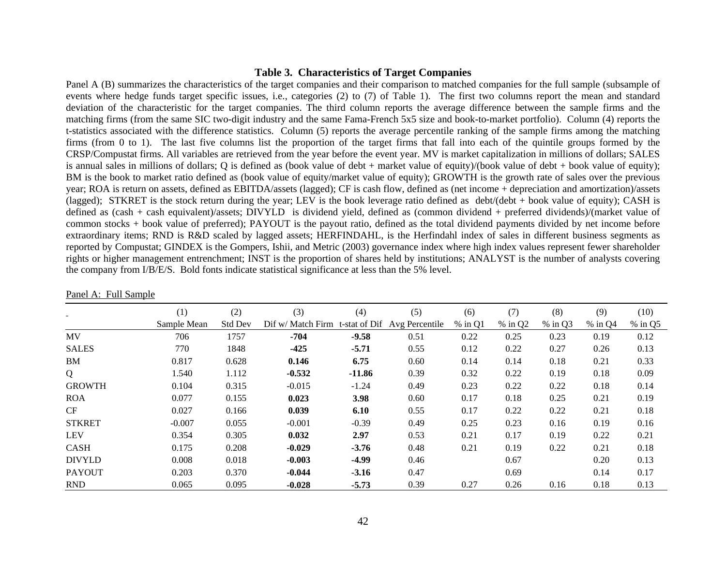#### **Table 3. Characteristics of Target Companies**

Panel A (B) summarizes the characteristics of the target companies and their comparison to matched companies for the full sample (subsample of events where hedge funds target specific issues, i.e., categories (2) to (7) of Table 1). The first two columns report the mean and standard deviation of the characteristic for the target companies. The third column reports the average difference between the sample firms and the matching firms (from the same SIC two-digit industry and the same Fama-French 5x5 size and book-to-market portfolio). Column (4) reports the t-statistics associated with the difference statistics. Column (5) reports the average percentile ranking of the sample firms among the matching firms (from 0 to 1). The last five columns list the proportion of the target firms that fall into each of the quintile groups formed by the CRSP/Compustat firms. All variables are retrieved from the year before the event year. MV is market capitalization in millions of dollars; SALES is annual sales in millions of dollars; Q is defined as (book value of debt + market value of equity)/(book value of debt + book value of equity); BM is the book to market ratio defined as (book value of equity/market value of equity); GROWTH is the growth rate of sales over the previous year; ROA is return on assets, defined as EBITDA/assets (lagged); CF is cash flow, defined as (net income + depreciation and amortization)/assets (lagged); STKRET is the stock return during the year; LEV is the book leverage ratio defined as debt/(debt + book value of equity); CASH is defined as (cash + cash equivalent)/assets; DIVYLD is dividend yield, defined as (common dividend + preferred dividends)/(market value of common stocks + book value of preferred); PAYOUT is the payout ratio, defined as the total dividend payments divided by net income before extraordinary items; RND is R&D scaled by lagged assets; HERFINDAHL, is the Herfindahl index of sales in different business segments as reported by Compustat; GINDEX is the Gompers, Ishii, and Metric (2003) governance index where high index values represent fewer shareholder rights or higher management entrenchment; INST is the proportion of shares held by institutions; ANALYST is the number of analysts covering the company from I/B/E/S. Bold fonts indicate statistical significance at less than the 5% level.

|               | (1)         | (2)            | (3)                                            | (4)      | (5)  | (6)       | (7)       | (8)       | (9)       | (10)      |
|---------------|-------------|----------------|------------------------------------------------|----------|------|-----------|-----------|-----------|-----------|-----------|
|               | Sample Mean | <b>Std Dev</b> | Dif w/ Match Firm t-stat of Dif Avg Percentile |          |      | $%$ in Q1 | $%$ in Q2 | $%$ in Q3 | $%$ in Q4 | $%$ in Q5 |
| <b>MV</b>     | 706         | 1757           | $-704$                                         | $-9.58$  | 0.51 | 0.22      | 0.25      | 0.23      | 0.19      | 0.12      |
| <b>SALES</b>  | 770         | 1848           | $-425$                                         | $-5.71$  | 0.55 | 0.12      | 0.22      | 0.27      | 0.26      | 0.13      |
| BM            | 0.817       | 0.628          | 0.146                                          | 6.75     | 0.60 | 0.14      | 0.14      | 0.18      | 0.21      | 0.33      |
| Q             | 1.540       | 1.112          | $-0.532$                                       | $-11.86$ | 0.39 | 0.32      | 0.22      | 0.19      | 0.18      | 0.09      |
| <b>GROWTH</b> | 0.104       | 0.315          | $-0.015$                                       | $-1.24$  | 0.49 | 0.23      | 0.22      | 0.22      | 0.18      | 0.14      |
| <b>ROA</b>    | 0.077       | 0.155          | 0.023                                          | 3.98     | 0.60 | 0.17      | 0.18      | 0.25      | 0.21      | 0.19      |
| CF            | 0.027       | 0.166          | 0.039                                          | 6.10     | 0.55 | 0.17      | 0.22      | 0.22      | 0.21      | 0.18      |
| <b>STKRET</b> | $-0.007$    | 0.055          | $-0.001$                                       | $-0.39$  | 0.49 | 0.25      | 0.23      | 0.16      | 0.19      | 0.16      |
| <b>LEV</b>    | 0.354       | 0.305          | 0.032                                          | 2.97     | 0.53 | 0.21      | 0.17      | 0.19      | 0.22      | 0.21      |
| <b>CASH</b>   | 0.175       | 0.208          | $-0.029$                                       | $-3.76$  | 0.48 | 0.21      | 0.19      | 0.22      | 0.21      | 0.18      |
| <b>DIVYLD</b> | 0.008       | 0.018          | $-0.003$                                       | $-4.99$  | 0.46 |           | 0.67      |           | 0.20      | 0.13      |
| <b>PAYOUT</b> | 0.203       | 0.370          | $-0.044$                                       | $-3.16$  | 0.47 |           | 0.69      |           | 0.14      | 0.17      |
| <b>RND</b>    | 0.065       | 0.095          | $-0.028$                                       | $-5.73$  | 0.39 | 0.27      | 0.26      | 0.16      | 0.18      | 0.13      |

Panel A: Full Sample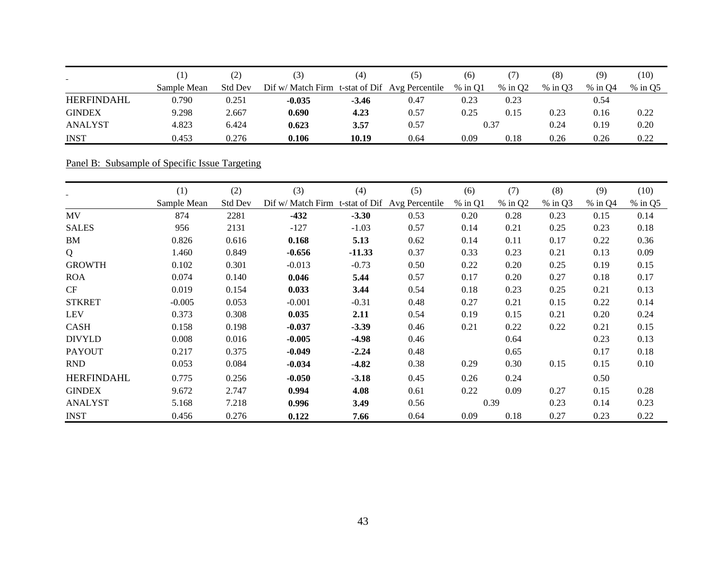| $\blacksquare$    |             | 2)             | (3)                                            | (4)     | (5)  | (6)       | 7)        | (8)       | (9)       | (10)      |
|-------------------|-------------|----------------|------------------------------------------------|---------|------|-----------|-----------|-----------|-----------|-----------|
|                   | Sample Mean | <b>Std Dev</b> | Dif w/ Match Firm t-stat of Dif Avg Percentile |         |      | $%$ in O1 | $%$ in Q2 | $%$ in O3 | $%$ in O4 | $%$ in Q5 |
| <b>HERFINDAHL</b> | 0.790       | 0.251          | $-0.035$                                       | $-3.46$ | 0.47 | 0.23      | 0.23      |           | 0.54      |           |
| <b>GINDEX</b>     | 9.298       | 2.667          | 0.690                                          | 4.23    | 0.57 | 0.25      | 0.15      | 0.23      | 0.16      | 0.22      |
| <b>ANALYST</b>    | 4.823       | 6.424          | 0.623                                          | 3.57    | 0.57 | 0.37      |           | 0.24      | 0.19      | 0.20      |
| <b>INST</b>       | 0.453       | 0.276          | 0.106                                          | 10.19   | 0.64 | 0.09      | 0.18      | 0.26      | 0.26      | 0.22      |

Panel B: Subsample of Specific Issue Targeting

|                   | (1)         | (2)            | (3)                                            | (4)      | (5)  | (6)       | (7)       | (8)     | (9)       | (10)      |
|-------------------|-------------|----------------|------------------------------------------------|----------|------|-----------|-----------|---------|-----------|-----------|
|                   | Sample Mean | <b>Std Dev</b> | Dif w/ Match Firm t-stat of Dif Avg Percentile |          |      | $%$ in Q1 | $%$ in Q2 | % in Q3 | $%$ in Q4 | $%$ in Q5 |
| MV                | 874         | 2281           | $-432$                                         | $-3.30$  | 0.53 | 0.20      | 0.28      | 0.23    | 0.15      | 0.14      |
| <b>SALES</b>      | 956         | 2131           | $-127$                                         | $-1.03$  | 0.57 | 0.14      | 0.21      | 0.25    | 0.23      | 0.18      |
| BM                | 0.826       | 0.616          | 0.168                                          | 5.13     | 0.62 | 0.14      | 0.11      | 0.17    | 0.22      | 0.36      |
| Q                 | 1.460       | 0.849          | $-0.656$                                       | $-11.33$ | 0.37 | 0.33      | 0.23      | 0.21    | 0.13      | 0.09      |
| <b>GROWTH</b>     | 0.102       | 0.301          | $-0.013$                                       | $-0.73$  | 0.50 | 0.22      | 0.20      | 0.25    | 0.19      | 0.15      |
| <b>ROA</b>        | 0.074       | 0.140          | 0.046                                          | 5.44     | 0.57 | 0.17      | 0.20      | 0.27    | 0.18      | 0.17      |
| CF                | 0.019       | 0.154          | 0.033                                          | 3.44     | 0.54 | 0.18      | 0.23      | 0.25    | 0.21      | 0.13      |
| <b>STKRET</b>     | $-0.005$    | 0.053          | $-0.001$                                       | $-0.31$  | 0.48 | 0.27      | 0.21      | 0.15    | 0.22      | 0.14      |
| <b>LEV</b>        | 0.373       | 0.308          | 0.035                                          | 2.11     | 0.54 | 0.19      | 0.15      | 0.21    | 0.20      | 0.24      |
| <b>CASH</b>       | 0.158       | 0.198          | $-0.037$                                       | $-3.39$  | 0.46 | 0.21      | 0.22      | 0.22    | 0.21      | 0.15      |
| <b>DIVYLD</b>     | 0.008       | 0.016          | $-0.005$                                       | $-4.98$  | 0.46 |           | 0.64      |         | 0.23      | 0.13      |
| <b>PAYOUT</b>     | 0.217       | 0.375          | $-0.049$                                       | $-2.24$  | 0.48 |           | 0.65      |         | 0.17      | 0.18      |
| <b>RND</b>        | 0.053       | 0.084          | $-0.034$                                       | $-4.82$  | 0.38 | 0.29      | 0.30      | 0.15    | 0.15      | 0.10      |
| <b>HERFINDAHL</b> | 0.775       | 0.256          | $-0.050$                                       | $-3.18$  | 0.45 | 0.26      | 0.24      |         | 0.50      |           |
| <b>GINDEX</b>     | 9.672       | 2.747          | 0.994                                          | 4.08     | 0.61 | 0.22      | 0.09      | 0.27    | 0.15      | 0.28      |
| <b>ANALYST</b>    | 5.168       | 7.218          | 0.996                                          | 3.49     | 0.56 |           | 0.39      | 0.23    | 0.14      | 0.23      |
| <b>INST</b>       | 0.456       | 0.276          | 0.122                                          | 7.66     | 0.64 | 0.09      | 0.18      | 0.27    | 0.23      | 0.22      |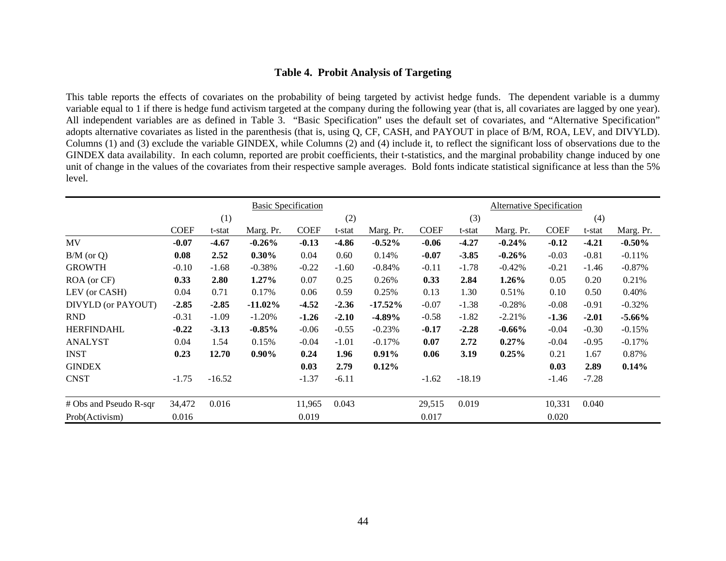# **Table 4. Probit Analysis of Targeting**

This table reports the effects of covariates on the probability of being targeted by activist hedge funds. The dependent variable is a dummy variable equal to 1 if there is hedge fund activism targeted at the company during the following year (that is, all covariates are lagged by one year). All independent variables are as defined in Table 3. "Basic Specification" uses the default set of covariates, and "Alternative Specification" adopts alternative covariates as listed in the parenthesis (that is, using Q, CF, CASH, and PAYOUT in place of B/M, ROA, LEV, and DIVYLD). Columns (1) and (3) exclude the variable GINDEX, while Columns (2) and (4) include it, to reflect the significant loss of observations due to the GINDEX data availability. In each column, reported are probit coefficients, their t-statistics, and the marginal probability change induced by one unit of change in the values of the covariates from their respective sample averages. Bold fonts indicate statistical significance at less than the 5% level.

|                        |             |          | <b>Basic Specification</b> |             |         |            |             |          | <b>Alternative Specification</b> |             |         |           |
|------------------------|-------------|----------|----------------------------|-------------|---------|------------|-------------|----------|----------------------------------|-------------|---------|-----------|
|                        |             | (1)      |                            |             | (2)     |            |             | (3)      | (4)                              |             |         |           |
|                        | <b>COEF</b> | t-stat   | Marg. Pr.                  | <b>COEF</b> | t-stat  | Marg. Pr.  | <b>COEF</b> | t-stat   | Marg. Pr.                        | <b>COEF</b> | t-stat  | Marg. Pr. |
| <b>MV</b>              | $-0.07$     | $-4.67$  | $-0.26\%$                  | $-0.13$     | $-4.86$ | $-0.52%$   | $-0.06$     | $-4.27$  | $-0.24\%$                        | $-0.12$     | $-4.21$ | $-0.50\%$ |
| $B/M$ (or Q)           | 0.08        | 2.52     | $0.30\%$                   | 0.04        | 0.60    | 0.14%      | $-0.07$     | $-3.85$  | $-0.26\%$                        | $-0.03$     | $-0.81$ | $-0.11%$  |
| <b>GROWTH</b>          | $-0.10$     | $-1.68$  | $-0.38%$                   | $-0.22$     | $-1.60$ | $-0.84%$   | $-0.11$     | $-1.78$  | $-0.42%$                         | $-0.21$     | $-1.46$ | $-0.87%$  |
| ROA (or CF)            | 0.33        | 2.80     | 1.27%                      | 0.07        | 0.25    | 0.26%      | 0.33        | 2.84     | 1.26%                            | 0.05        | 0.20    | 0.21%     |
| LEV (or CASH)          | 0.04        | 0.71     | 0.17%                      | 0.06        | 0.59    | 0.25%      | 0.13        | 1.30     | 0.51%                            | 0.10        | 0.50    | 0.40%     |
| DIVYLD (or PAYOUT)     | $-2.85$     | $-2.85$  | $-11.02\%$                 | $-4.52$     | $-2.36$ | $-17.52\%$ | $-0.07$     | $-1.38$  | $-0.28%$                         | $-0.08$     | $-0.91$ | $-0.32%$  |
| <b>RND</b>             | $-0.31$     | $-1.09$  | $-1.20%$                   | $-1.26$     | $-2.10$ | $-4.89%$   | $-0.58$     | $-1.82$  | $-2.21%$                         | $-1.36$     | $-2.01$ | $-5.66\%$ |
| <b>HERFINDAHL</b>      | $-0.22$     | $-3.13$  | $-0.85%$                   | $-0.06$     | $-0.55$ | $-0.23%$   | $-0.17$     | $-2.28$  | $-0.66%$                         | $-0.04$     | $-0.30$ | $-0.15%$  |
| <b>ANALYST</b>         | 0.04        | 1.54     | 0.15%                      | $-0.04$     | $-1.01$ | $-0.17%$   | 0.07        | 2.72     | $0.27\%$                         | $-0.04$     | $-0.95$ | $-0.17%$  |
| <b>INST</b>            | 0.23        | 12.70    | $0.90\%$                   | 0.24        | 1.96    | 0.91%      | 0.06        | 3.19     | 0.25%                            | 0.21        | 1.67    | 0.87%     |
| <b>GINDEX</b>          |             |          |                            | 0.03        | 2.79    | 0.12%      |             |          |                                  | 0.03        | 2.89    | 0.14%     |
| <b>CNST</b>            | $-1.75$     | $-16.52$ |                            | $-1.37$     | $-6.11$ |            | $-1.62$     | $-18.19$ |                                  | $-1.46$     | $-7.28$ |           |
| # Obs and Pseudo R-sqr | 34,472      | 0.016    |                            | 11,965      | 0.043   |            | 29,515      | 0.019    |                                  | 10,331      | 0.040   |           |
| Prob(Activism)         | 0.016       |          |                            | 0.019       |         |            | 0.017       |          |                                  | 0.020       |         |           |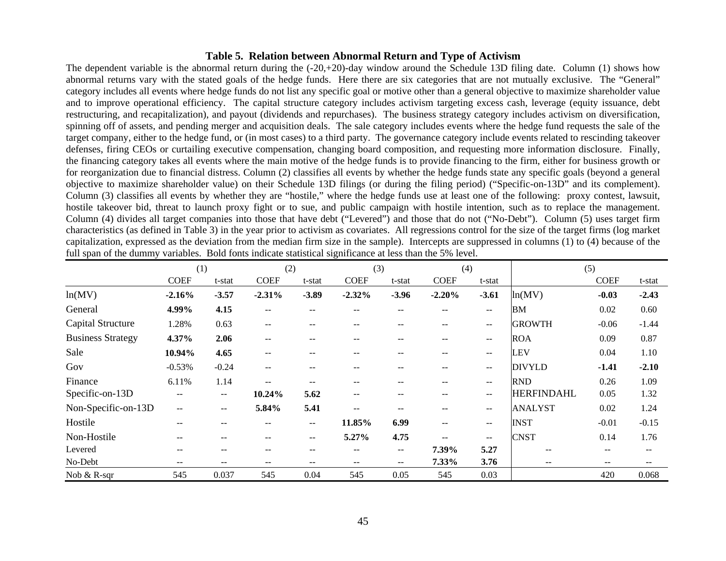#### **Table 5. Relation between Abnormal Return and Type of Activism**

The dependent variable is the abnormal return during the (-20,+20)-day window around the Schedule 13D filing date. Column (1) shows how abnormal returns vary with the stated goals of the hedge funds. Here there are six categories that are not mutually exclusive. The "General" category includes all events where hedge funds do not list any specific goal or motive other than a general objective to maximize shareholder value and to improve operational efficiency. The capital structure category includes activism targeting excess cash, leverage (equity issuance, debt restructuring, and recapitalization), and payout (dividends and repurchases). The business strategy category includes activism on diversification, spinning off of assets, and pending merger and acquisition deals. The sale category includes events where the hedge fund requests the sale of the target company, either to the hedge fund, or (in most cases) to a third party. The governance category include events related to rescinding takeover defenses, firing CEOs or curtailing executive compensation, changing board composition, and requesting more information disclosure. Finally, the financing category takes all events where the main motive of the hedge funds is to provide financing to the firm, either for business growth or for reorganization due to financial distress. Column (2) classifies all events by whether the hedge funds state any specific goals (beyond a general objective to maximize shareholder value) on their Schedule 13D filings (or during the filing period) ("Specific-on-13D" and its complement). Column (3) classifies all events by whether they are "hostile," where the hedge funds use at least one of the following: proxy contest, lawsuit, hostile takeover bid, threat to launch proxy fight or to sue, and public campaign with hostile intention, such as to replace the management. Column (4) divides all target companies into those that have debt ("Levered") and those that do not ("No-Debt"). Column (5) uses target firm characteristics (as defined in Table 3) in the year prior to activism as covariates. All regressions control for the size of the target firms (log market capitalization, expressed as the deviation from the median firm size in the sample). Intercepts are suppressed in columns (1) to (4) because of the full span of the dummy variables. Bold fonts indicate statistical significance at less than the 5% level.

|                          | (1)                      |                          | (2)         |         | (3)         |                          | (4)         |                                                     |                   | (5)         |                          |
|--------------------------|--------------------------|--------------------------|-------------|---------|-------------|--------------------------|-------------|-----------------------------------------------------|-------------------|-------------|--------------------------|
|                          | <b>COEF</b>              | t-stat                   | <b>COEF</b> | t-stat  | <b>COEF</b> | t-stat                   | <b>COEF</b> | t-stat                                              |                   | <b>COEF</b> | t-stat                   |
| ln(MV)                   | $-2.16%$                 | $-3.57$                  | $-2.31%$    | $-3.89$ | $-2.32%$    | $-3.96$                  | $-2.20%$    | $-3.61$                                             | ln(MV)            | $-0.03$     | $-2.43$                  |
| General                  | 4.99%                    | 4.15                     | $- -$       | $- -$   |             |                          |             | $\overline{\phantom{m}}$                            | <b>BM</b>         | 0.02        | 0.60                     |
| <b>Capital Structure</b> | 1.28%                    | 0.63                     | $- -$       | $- -$   | --          | $- -$                    | --          | $\mathbf{u}$                                        | <b>GROWTH</b>     | $-0.06$     | $-1.44$                  |
| <b>Business Strategy</b> | 4.37%                    | 2.06                     | --          | $- -$   | --          |                          | --          | $\overline{\phantom{m}}$                            | <b>ROA</b>        | 0.09        | 0.87                     |
| Sale                     | 10.94%                   | 4.65                     | $- -$       | --      | --          |                          | $- -$       | $\mathbf{u}$                                        | <b>LEV</b>        | 0.04        | 1.10                     |
| Gov                      | $-0.53%$                 | $-0.24$                  | $- -$       | $- -$   | --          | $- -$                    | $- -$       | $\hspace{0.05cm} -\hspace{0.05cm} -\hspace{0.05cm}$ | <b>DIVYLD</b>     | $-1.41$     | $-2.10$                  |
| Finance                  | 6.11%                    | 1.14                     | $- -$       | $- -$   | --          | $- -$                    | $- -$       | $\hspace{0.05cm} -\hspace{0.05cm} -\hspace{0.05cm}$ | <b>RND</b>        | 0.26        | 1.09                     |
| Specific-on-13D          | $\sim$ $\sim$            | $\overline{\phantom{a}}$ | 10.24%      | 5.62    | $- -$       | $- -$                    | --          | $\qquad \qquad -$                                   | <b>HERFINDAHL</b> | 0.05        | 1.32                     |
| Non-Specific-on-13D      | $\overline{\phantom{m}}$ | $\overline{\phantom{m}}$ | 5.84%       | 5.41    | --          |                          | --          | $\overline{\phantom{m}}$                            | <b>ANALYST</b>    | 0.02        | 1.24                     |
| Hostile                  | $\sim$ $\sim$            | $\qquad \qquad -$        | $- -$       | --      | 11.85%      | 6.99                     | $- -$       | $\sim$ $\sim$                                       | <b>INST</b>       | $-0.01$     | $-0.15$                  |
| Non-Hostile              | $\overline{\phantom{m}}$ | $-$                      | --          | $- -$   | 5.27%       | 4.75                     | $-$         | $\overline{\phantom{m}}$                            | <b>CNST</b>       | 0.14        | 1.76                     |
| Levered                  | $- -$                    |                          | $- -$       | $- -$   | --          | $- -$                    | 7.39%       | 5.27                                                |                   | $- -$       |                          |
| No-Debt                  | $\overline{\phantom{m}}$ | $\overline{\phantom{m}}$ | --          | $- -$   | --          | $\overline{\phantom{m}}$ | 7.33%       | 3.76                                                | --                | --          | $\overline{\phantom{m}}$ |
| Nob & R-sqr              | 545                      | 0.037                    | 545         | 0.04    | 545         | 0.05                     | 545         | 0.03                                                |                   | 420         | 0.068                    |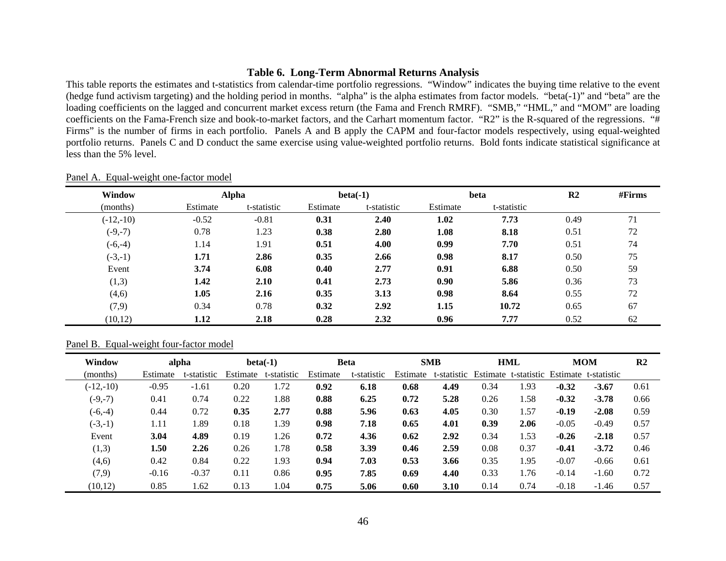# **Table 6. Long-Term Abnormal Returns Analysis**

This table reports the estimates and t-statistics from calendar-time portfolio regressions. "Window" indicates the buying time relative to the event (hedge fund activism targeting) and the holding period in months. "alpha" is the alpha estimates from factor models. "beta(-1)" and "beta" are the loading coefficients on the lagged and concurrent market excess return (the Fama and French RMRF). "SMB," "HML," and "MOM" are loading coefficients on the Fama-French size and book-to-market factors, and the Carhart momentum factor. "R2" is the R-squared of the regressions. "# Firms" is the number of firms in each portfolio. Panels A and B apply the CAPM and four-factor models respectively, using equal-weighted portfolio returns. Panels C and D conduct the same exercise using value-weighted portfolio returns. Bold fonts indicate statistical significance at less than the 5% level.

| Window      |          | <b>Alpha</b> | $beta(-1)$ |             | beta     |             | R <sub>2</sub> | #Firms |
|-------------|----------|--------------|------------|-------------|----------|-------------|----------------|--------|
| (months)    | Estimate | t-statistic  | Estimate   | t-statistic | Estimate | t-statistic |                |        |
| $(-12,-10)$ | $-0.52$  | $-0.81$      | 0.31       | 2.40        | 1.02     | 7.73        | 0.49           | 71     |
| $(-9,-7)$   | 0.78     | 1.23         | 0.38       | 2.80        | 1.08     | 8.18        | 0.51           | 72     |
| $(-6,-4)$   | 1.14     | 1.91         | 0.51       | 4.00        | 0.99     | 7.70        | 0.51           | 74     |
| $(-3,-1)$   | 1.71     | 2.86         | 0.35       | 2.66        | 0.98     | 8.17        | 0.50           | 75     |
| Event       | 3.74     | 6.08         | 0.40       | 2.77        | 0.91     | 6.88        | 0.50           | 59     |
| (1,3)       | 1.42     | 2.10         | 0.41       | 2.73        | 0.90     | 5.86        | 0.36           | 73     |
| (4,6)       | 1.05     | 2.16         | 0.35       | 3.13        | 0.98     | 8.64        | 0.55           | 72     |
| (7,9)       | 0.34     | 0.78         | 0.32       | 2.92        | 1.15     | 10.72       | 0.65           | 67     |
| (10, 12)    | 1.12     | 2.18         | 0.28       | 2.32        | 0.96     | 7.77        | 0.52           | 62     |

#### Panel A. Equal-weight one-factor model

#### Panel B. Equal-weight four-factor model

| Window      |          | alpha       |          | $beta(-1)$  |          | <b>Beta</b> |          | <b>SMB</b>  |          | <b>HML</b>  |         | <b>MOM</b>           | R <sub>2</sub> |
|-------------|----------|-------------|----------|-------------|----------|-------------|----------|-------------|----------|-------------|---------|----------------------|----------------|
| (months)    | Estimate | t-statistic | Estimate | t-statistic | Estimate | t-statistic | Estimate | t-statistic | Estimate | t-statistic |         | Estimate t-statistic |                |
| $(-12,-10)$ | $-0.95$  | $-1.61$     | 0.20     | 1.72        | 0.92     | 6.18        | 0.68     | 4.49        | 0.34     | 1.93        | $-0.32$ | $-3.67$              | 0.61           |
| $(-9,-7)$   | 0.41     | 0.74        | 0.22     | 1.88        | 0.88     | 6.25        | 0.72     | 5.28        | 0.26     | 1.58        | $-0.32$ | $-3.78$              | 0.66           |
| $(-6,-4)$   | 0.44     | 0.72        | 0.35     | 2.77        | 0.88     | 5.96        | 0.63     | 4.05        | 0.30     | 1.57        | $-0.19$ | $-2.08$              | 0.59           |
| $(-3,-1)$   | 1.11     | 1.89        | 0.18     | 1.39        | 0.98     | 7.18        | 0.65     | 4.01        | 0.39     | 2.06        | $-0.05$ | $-0.49$              | 0.57           |
| Event       | 3.04     | 4.89        | 0.19     | 1.26        | 0.72     | 4.36        | 0.62     | 2.92        | 0.34     | 1.53        | $-0.26$ | $-2.18$              | 0.57           |
| (1,3)       | 1.50     | 2.26        | 0.26     | 1.78        | 0.58     | 3.39        | 0.46     | 2.59        | 0.08     | 0.37        | $-0.41$ | $-3.72$              | 0.46           |
| (4,6)       | 0.42     | 0.84        | 0.22     | 1.93        | 0.94     | 7.03        | 0.53     | 3.66        | 0.35     | 1.95        | $-0.07$ | $-0.66$              | 0.61           |
| (7,9)       | $-0.16$  | $-0.37$     | 0.11     | 0.86        | 0.95     | 7.85        | 0.69     | 4.40        | 0.33     | l.76        | $-0.14$ | $-1.60$              | 0.72           |
| (10,12)     | 0.85     | 1.62        | 0.13     | 1.04        | 0.75     | 5.06        | 0.60     | 3.10        | 0.14     | 0.74        | $-0.18$ | $-1.46$              | 0.57           |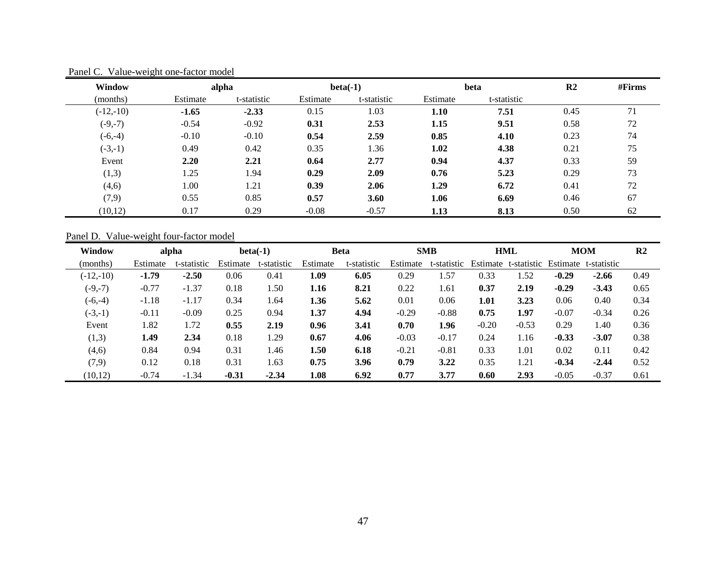| Window      |          | alpha       | $beta(-1)$ |             |          | beta        | R <sub>2</sub> | #Firms |
|-------------|----------|-------------|------------|-------------|----------|-------------|----------------|--------|
| (months)    | Estimate | t-statistic | Estimate   | t-statistic | Estimate | t-statistic |                |        |
| $(-12,-10)$ | $-1.65$  | $-2.33$     | 0.15       | 1.03        | 1.10     | 7.51        | 0.45           | 71     |
| $(-9,-7)$   | $-0.54$  | $-0.92$     | 0.31       | 2.53        | 1.15     | 9.51        | 0.58           | 72     |
| $(-6,-4)$   | $-0.10$  | $-0.10$     | 0.54       | 2.59        | 0.85     | 4.10        | 0.23           | 74     |
| $(-3,-1)$   | 0.49     | 0.42        | 0.35       | 1.36        | 1.02     | 4.38        | 0.21           | 75     |
| Event       | 2.20     | 2.21        | 0.64       | 2.77        | 0.94     | 4.37        | 0.33           | 59     |
| (1,3)       | 1.25     | 1.94        | 0.29       | 2.09        | 0.76     | 5.23        | 0.29           | 73     |
| (4,6)       | 1.00     | 1.21        | 0.39       | 2.06        | 1.29     | 6.72        | 0.41           | 72     |
| (7,9)       | 0.55     | 0.85        | 0.57       | 3.60        | 1.06     | 6.69        | 0.46           | 67     |
| (10, 12)    | 0.17     | 0.29        | $-0.08$    | $-0.57$     | 1.13     | 8.13        | 0.50           | 62     |

Panel C. Value-weight one-factor model

# Panel D. Value-weight four-factor model

| Window      |          | alpha       |          | $beta(-1)$  |          | Beta        |          | <b>SMB</b>  |          | <b>HML</b>  |          | <b>MOM</b>  | R <sub>2</sub> |
|-------------|----------|-------------|----------|-------------|----------|-------------|----------|-------------|----------|-------------|----------|-------------|----------------|
| (months)    | Estimate | t-statistic | Estimate | t-statistic | Estimate | t-statistic | Estimate | t-statistic | Estimate | t-statistic | Estimate | t-statistic |                |
| $(-12,-10)$ | $-1.79$  | $-2.50$     | 0.06     | 0.41        | 1.09     | 6.05        | 0.29     | 1.57        | 0.33     | .52         | $-0.29$  | $-2.66$     | 0.49           |
| $(-9,-7)$   | $-0.77$  | $-1.37$     | 0.18     | 1.50        | 1.16     | 8.21        | 0.22     | 1.61        | 0.37     | 2.19        | $-0.29$  | $-3.43$     | 0.65           |
| $(-6,-4)$   | $-1.18$  | $-1.17$     | 0.34     | 1.64        | 1.36     | 5.62        | 0.01     | 0.06        | 1.01     | 3.23        | 0.06     | 0.40        | 0.34           |
| $(-3,-1)$   | $-0.11$  | $-0.09$     | 0.25     | 0.94        | 1.37     | 4.94        | $-0.29$  | $-0.88$     | 0.75     | 1.97        | $-0.07$  | $-0.34$     | 0.26           |
| Event       | 1.82     | 1.72        | 0.55     | 2.19        | 0.96     | 3.41        | 0.70     | 1.96        | $-0.20$  | $-0.53$     | 0.29     | 1.40        | 0.36           |
| (1,3)       | 1.49     | 2.34        | 0.18     | 1.29        | 0.67     | 4.06        | $-0.03$  | $-0.17$     | 0.24     | 1.16        | $-0.33$  | $-3.07$     | 0.38           |
| (4,6)       | 0.84     | 0.94        | 0.31     | 1.46        | 1.50     | 6.18        | $-0.21$  | $-0.81$     | 0.33     | 1.01        | 0.02     | 0.11        | 0.42           |
| (7,9)       | 0.12     | 0.18        | 0.31     | 1.63        | 0.75     | 3.96        | 0.79     | 3.22        | 0.35     | 1.21        | $-0.34$  | $-2.44$     | 0.52           |
| (10,12)     | $-0.74$  | $-1.34$     | $-0.31$  | $-2.34$     | 1.08     | 6.92        | 0.77     | 3.77        | 0.60     | 2.93        | $-0.05$  | $-0.37$     | 0.61           |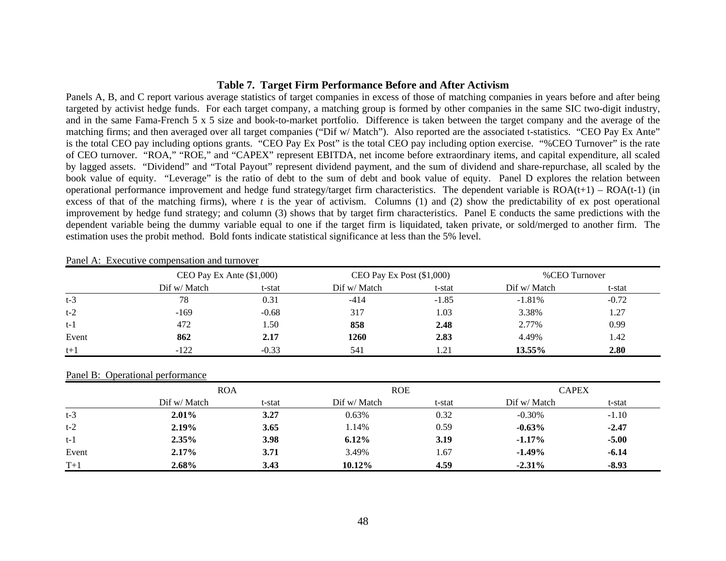# **Table 7. Target Firm Performance Before and After Activism**

Panels A, B, and C report various average statistics of target companies in excess of those of matching companies in years before and after being targeted by activist hedge funds. For each target company, a matching group is formed by other companies in the same SIC two-digit industry, and in the same Fama-French 5 x 5 size and book-to-market portfolio. Difference is taken between the target company and the average of the matching firms; and then averaged over all target companies ("Dif w/ Match"). Also reported are the associated t-statistics. "CEO Pay Ex Ante" is the total CEO pay including options grants. "CEO Pay Ex Post" is the total CEO pay including option exercise. "%CEO Turnover" is the rate of CEO turnover. "ROA," "ROE," and "CAPEX" represent EBITDA, net income before extraordinary items, and capital expenditure, all scaled by lagged assets. "Dividend" and "Total Payout" represent dividend payment, and the sum of dividend and share-repurchase, all scaled by the book value of equity. "Leverage" is the ratio of debt to the sum of debt and book value of equity. Panel D explores the relation between operational performance improvement and hedge fund strategy/target firm characteristics. The dependent variable is  $ROA(t+1) - ROA(t-1)$  (in excess of that of the matching firms), where *t* is the year of activism. Columns (1) and (2) show the predictability of ex post operational improvement by hedge fund strategy; and column (3) shows that by target firm characteristics. Panel E conducts the same predictions with the dependent variable being the dummy variable equal to one if the target firm is liquidated, taken private, or sold/merged to another firm. The estimation uses the probit method. Bold fonts indicate statistical significance at less than the 5% level.

|       | CEO Pay Ex Ante $(\$1,000)$ |         | CEO Pay Ex Post $(\$1,000)$ |         | %CEO Turnover |         |  |
|-------|-----------------------------|---------|-----------------------------|---------|---------------|---------|--|
|       | Dif w/ Match                | t-stat  | Dif w/ Match                | t-stat  | Dif w/ Match  | t-stat  |  |
| $t-3$ | 78                          | 0.31    | $-414$                      | $-1.85$ | $-1.81%$      | $-0.72$ |  |
| $t-2$ | $-169$                      | $-0.68$ | 317                         | 1.03    | 3.38%         | 1.27    |  |
| $t-1$ | 472                         | 1.50    | 858                         | 2.48    | 2.77%         | 0.99    |  |
| Event | 862                         | 2.17    | 1260                        | 2.83    | 4.49%         | 1.42    |  |
| $t+1$ | $-122$                      | $-0.33$ | 541                         |         | 13.55%        | 2.80    |  |

Panel A: Executive compensation and turnover

#### Panel B: Operational performance

|       | <b>ROA</b>   |        | <b>ROE</b>   |        | <b>CAPEX</b> |         |  |
|-------|--------------|--------|--------------|--------|--------------|---------|--|
|       | Dif w/ Match | t-stat | Dif w/ Match | t-stat | Dif w/ Match | t-stat  |  |
| $t-3$ | $2.01\%$     | 3.27   | 0.63%        | 0.32   | $-0.30%$     | $-1.10$ |  |
| $t-2$ | $2.19\%$     | 3.65   | 1.14%        | 0.59   | $-0.63\%$    | $-2.47$ |  |
| $t-1$ | $2.35\%$     | 3.98   | $6.12\%$     | 3.19   | $-1.17\%$    | $-5.00$ |  |
| Event | $2.17\%$     | 3.71   | 3.49%        | 1.67   | $-1.49\%$    | $-6.14$ |  |
| $T+1$ | 2.68%        | 3.43   | 10.12%       | 4.59   | $-2.31\%$    | $-8.93$ |  |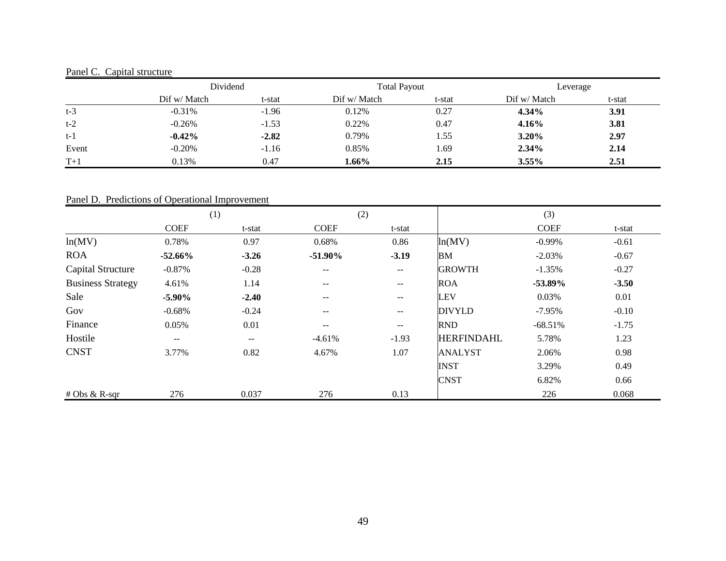# Panel C. Capital structure

|       | Dividend     |         | <b>Total Payout</b> |        | Leverage     |        |
|-------|--------------|---------|---------------------|--------|--------------|--------|
|       | Dif w/ Match | t-stat  | Dif w/ Match        | t-stat | Dif w/ Match | t-stat |
| $t-3$ | $-0.31%$     | $-1.96$ | 0.12%               | 0.27   | $4.34\%$     | 3.91   |
| $t-2$ | $-0.26%$     | $-1.53$ | 0.22%               | 0.47   | 4.16%        | 3.81   |
| $t-1$ | $-0.42%$     | $-2.82$ | 0.79%               | 1.55   | 3.20%        | 2.97   |
| Event | $-0.20%$     | $-1.16$ | 0.85%               | 1.69   | 2.34%        | 2.14   |
| $T+1$ | 0.13%        | 0.47    | 1.66%               | 2.15   | $3.55\%$     | 2.51   |

# Panel D. Predictions of Operational Improvement

|                          | (1)               |                   |                          | (2)     |                   | (3)         |         |  |
|--------------------------|-------------------|-------------------|--------------------------|---------|-------------------|-------------|---------|--|
|                          | <b>COEF</b>       | t-stat            | <b>COEF</b>              | t-stat  |                   | <b>COEF</b> | t-stat  |  |
| ln(MV)                   | 0.78%             | 0.97              | 0.68%                    | 0.86    | ln(MV)            | $-0.99\%$   | $-0.61$ |  |
| <b>ROA</b>               | $-52.66\%$        | $-3.26$           | $-51.90\%$               | $-3.19$ | <b>BM</b>         | $-2.03%$    | $-0.67$ |  |
| <b>Capital Structure</b> | $-0.87%$          | $-0.28$           | $-$                      | $--$    | <b>GROWTH</b>     | $-1.35%$    | $-0.27$ |  |
| <b>Business Strategy</b> | 4.61%             | 1.14              | $\qquad \qquad -$        | $- -$   | <b>ROA</b>        | $-53.89\%$  | $-3.50$ |  |
| Sale                     | $-5.90\%$         | $-2.40$           | $\overline{\phantom{m}}$ | $- -$   | <b>LEV</b>        | 0.03%       | 0.01    |  |
| Gov                      | $-0.68%$          | $-0.24$           | $\qquad \qquad -$        | $- -$   | <b>DIVYLD</b>     | $-7.95%$    | $-0.10$ |  |
| Finance                  | 0.05%             | 0.01              | $\overline{\phantom{m}}$ | $- -$   | <b>RND</b>        | $-68.51%$   | $-1.75$ |  |
| Hostile                  | $\qquad \qquad -$ | $\qquad \qquad -$ | $-4.61%$                 | $-1.93$ | <b>HERFINDAHL</b> | 5.78%       | 1.23    |  |
| <b>CNST</b>              | 3.77%             | 0.82              | 4.67%                    | 1.07    | <b>ANALYST</b>    | 2.06%       | 0.98    |  |
|                          |                   |                   |                          |         | <b>INST</b>       | 3.29%       | 0.49    |  |
|                          |                   |                   |                          |         | <b>CNST</b>       | 6.82%       | 0.66    |  |
| $# Obs & R-sqr$          | 276               | 0.037             | 276                      | 0.13    |                   | 226         | 0.068   |  |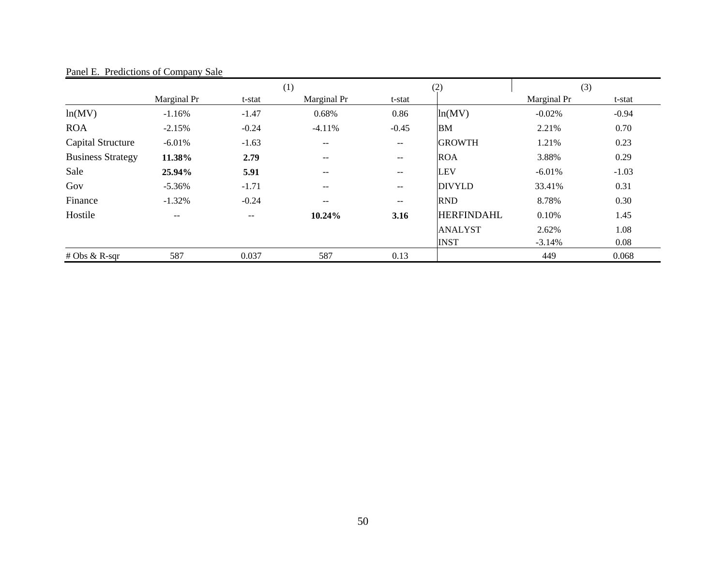|                          |             |         | (1)                      | (2)               |                   | (3)         |         |
|--------------------------|-------------|---------|--------------------------|-------------------|-------------------|-------------|---------|
|                          | Marginal Pr | t-stat  | Marginal Pr              | t-stat            |                   | Marginal Pr | t-stat  |
| ln(MV)                   | $-1.16%$    | $-1.47$ | 0.68%                    | 0.86              | ln(MV)            | $-0.02%$    | $-0.94$ |
| <b>ROA</b>               | $-2.15%$    | $-0.24$ | $-4.11%$                 | $-0.45$           | <b>BM</b>         | 2.21%       | 0.70    |
| Capital Structure        | $-6.01%$    | $-1.63$ | $\overline{\phantom{m}}$ | $\qquad \qquad -$ | <b>GROWTH</b>     | 1.21%       | 0.23    |
| <b>Business Strategy</b> | 11.38%      | 2.79    | $\overline{\phantom{m}}$ | $\qquad \qquad -$ | <b>ROA</b>        | 3.88%       | 0.29    |
| Sale                     | 25.94%      | 5.91    | $-$                      | $--$              | <b>LEV</b>        | $-6.01%$    | $-1.03$ |
| Gov                      | $-5.36%$    | $-1.71$ | $-$                      | $\qquad \qquad -$ | <b>DIVYLD</b>     | 33.41%      | 0.31    |
| Finance                  | $-1.32%$    | $-0.24$ | $\overline{\phantom{m}}$ | $\qquad \qquad -$ | <b>RND</b>        | 8.78%       | 0.30    |
| Hostile                  | $- -$       | $- -$   | 10.24%                   | 3.16              | <b>HERFINDAHL</b> | 0.10%       | 1.45    |
|                          |             |         |                          |                   | <b>ANALYST</b>    | 2.62%       | 1.08    |
|                          |             |         |                          |                   | <b>INST</b>       | $-3.14%$    | 0.08    |
| # Obs & R-sqr            | 587         | 0.037   | 587                      | 0.13              |                   | 449         | 0.068   |

Panel E. Predictions of Company Sale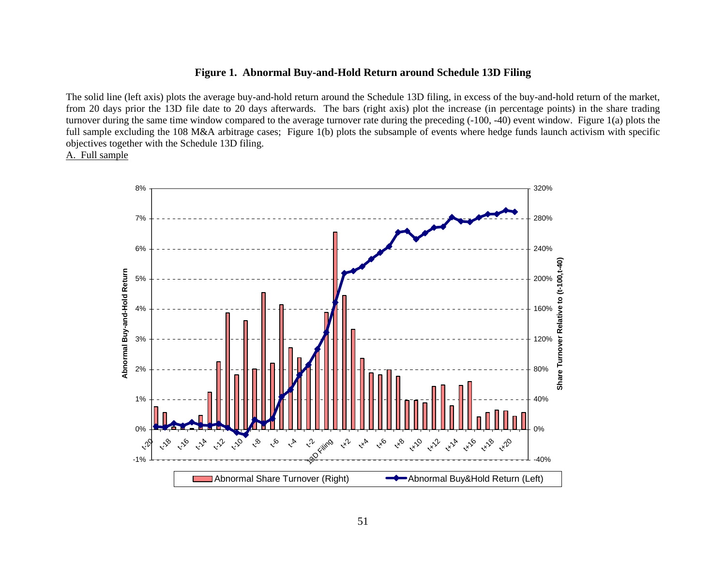# **Figure 1. Abnormal Buy-and-Hold Return around Schedule 13D Filing**

The solid line (left axis) plots the average buy-and-hold return around the Schedule 13D filing, in excess of the buy-and-hold return of the market, from 20 days prior the 13D file date to 20 days afterwards. The bars (right axis) plot the increase (in percentage points) in the share trading turnover during the same time window compared to the average turnover rate during the preceding (-100, -40) event window. Figure 1(a) plots the full sample excluding the 108 M&A arbitrage cases; Figure 1(b) plots the subsample of events where hedge funds launch activism with specific objectives together with the Schedule 13D filing.

A. Full sample

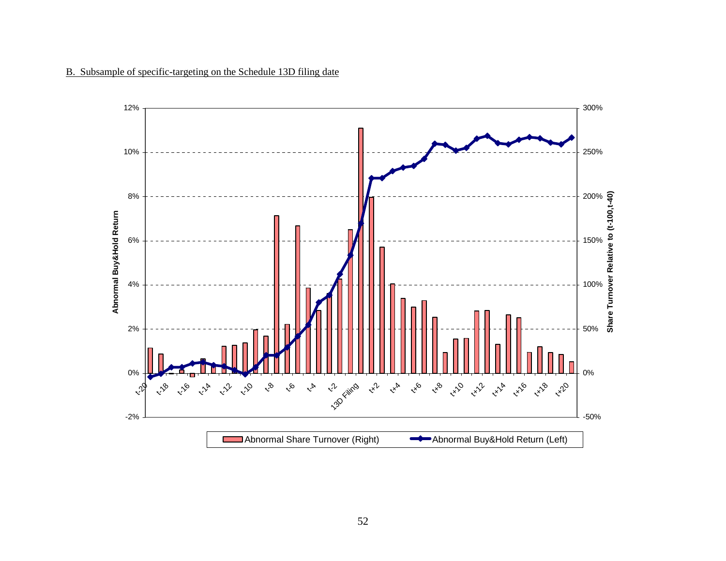

# B. Subsample of specific-targeting on the Schedule 13D filing date